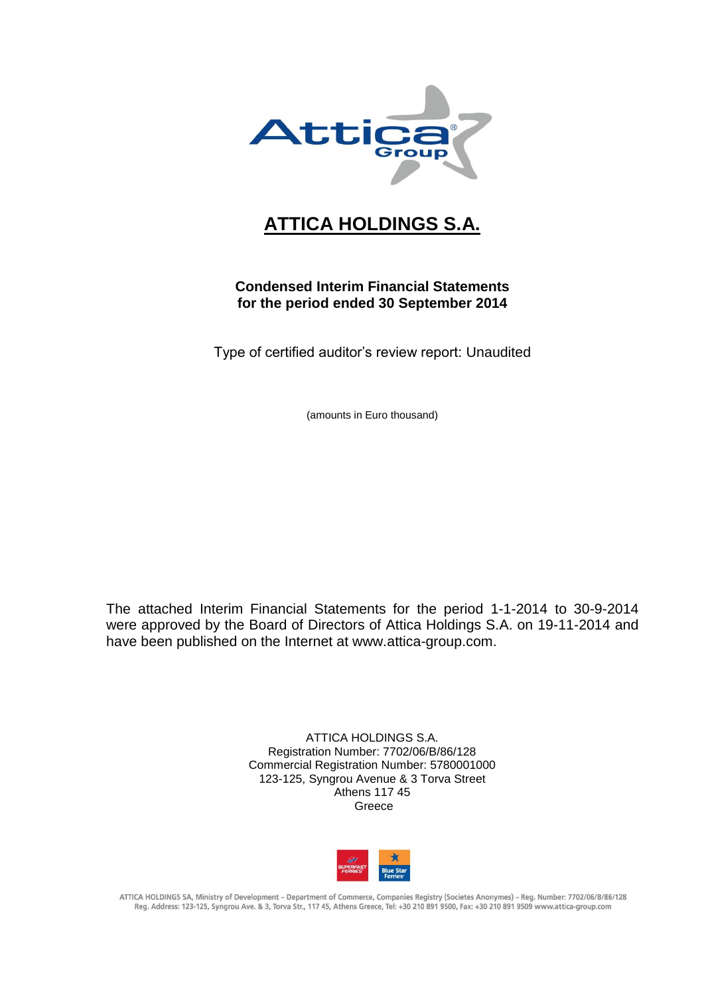

# **ATTICA HOLDINGS S.A.**

# **Condensed Interim Financial Statements for the period ended 30 September 2014**

Type of certified auditor's review report: Unaudited

(amounts in Euro thousand)

The attached Interim Financial Statements for the period 1-1-2014 to 30-9-2014 were approved by the Board of Directors of Attica Holdings S.A. on 19-11-2014 and have been published on the Internet at www.attica-group.com.

> ATTICA HOLDINGS S.A. Registration Number: 7702/06/B/86/128 Commercial Registration Number: 5780001000 123-125, Syngrou Avenue & 3 Torva Street Athens 117 45 Greece



ATTICA HOLDINGS SA, Ministry of Development - Department of Commerce, Companies Registry (Societes Anonymes) - Reg. Number: 7702/06/B/86/128 Reg. Address: 123-125, Syngrou Ave. & 3, Torva Str., 117 45, Athens Greece, Tel: +30 210 891 9500, Fax: +30 210 891 9509 www.attica-group.com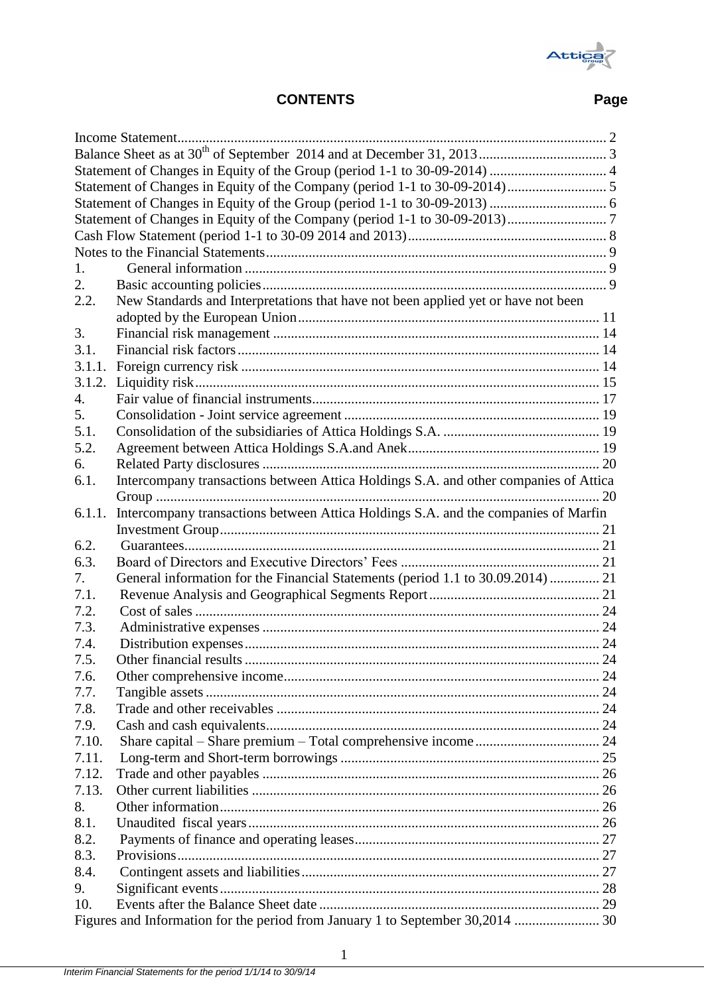

# **CONTENTS Page**

| 1.     |                                                                                      |    |
|--------|--------------------------------------------------------------------------------------|----|
| 2.     |                                                                                      |    |
| 2.2.   | New Standards and Interpretations that have not been applied yet or have not been    |    |
|        |                                                                                      |    |
| 3.     |                                                                                      |    |
| 3.1.   |                                                                                      |    |
| 3.1.1. |                                                                                      |    |
| 3.1.2. |                                                                                      |    |
| 4.     |                                                                                      |    |
| 5.     |                                                                                      |    |
| 5.1.   |                                                                                      |    |
| 5.2.   |                                                                                      |    |
| 6.     |                                                                                      |    |
| 6.1.   | Intercompany transactions between Attica Holdings S.A. and other companies of Attica |    |
|        |                                                                                      |    |
| 6.1.1. | Intercompany transactions between Attica Holdings S.A. and the companies of Marfin   |    |
|        |                                                                                      |    |
| 6.2.   |                                                                                      |    |
| 6.3.   |                                                                                      |    |
| 7.     | General information for the Financial Statements (period 1.1 to 30.09.2014)  21      |    |
| 7.1.   |                                                                                      |    |
| 7.2.   |                                                                                      |    |
| 7.3.   |                                                                                      |    |
| 7.4.   |                                                                                      |    |
| 7.5.   |                                                                                      | 24 |
| 7.6.   |                                                                                      |    |
| 7.7.   |                                                                                      |    |
| 7.8.   |                                                                                      |    |
| 7.9.   |                                                                                      |    |
| 7.10.  |                                                                                      |    |
| 7.11.  |                                                                                      |    |
| 7.12.  |                                                                                      |    |
| 7.13.  |                                                                                      |    |
| 8.     |                                                                                      |    |
| 8.1.   |                                                                                      |    |
| 8.2.   |                                                                                      |    |
| 8.3.   |                                                                                      |    |
| 8.4.   |                                                                                      |    |
| 9.     |                                                                                      |    |
| 10.    |                                                                                      |    |
|        | Figures and Information for the period from January 1 to September 30,2014  30       |    |
|        |                                                                                      |    |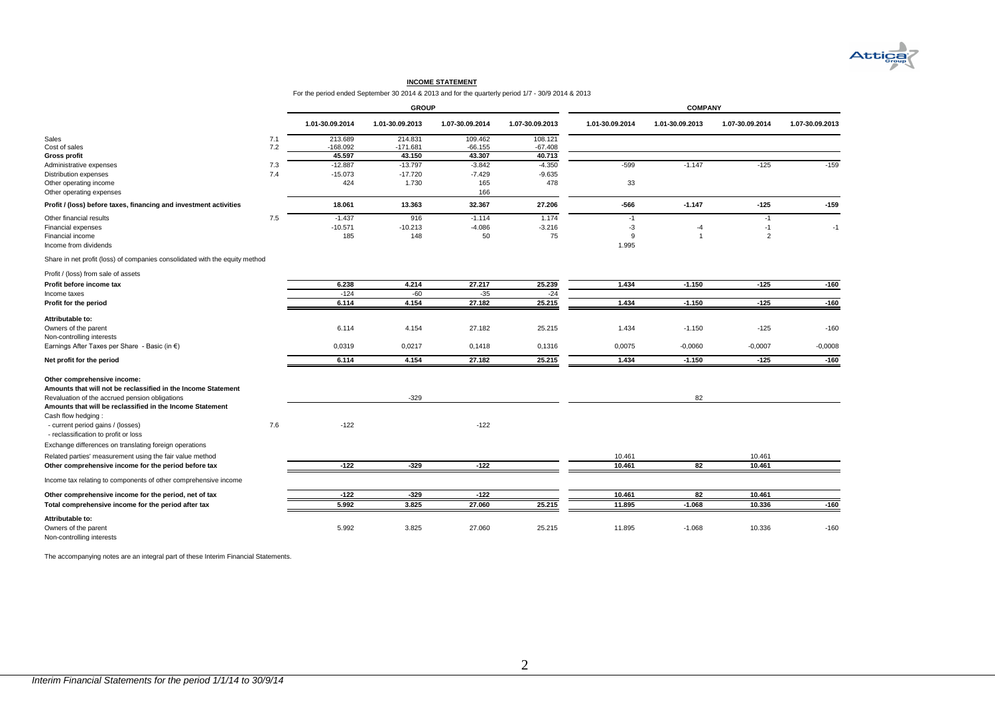

#### **INCOME STATEMENT**

For the period ended September 30 2014 & 2013 and for the quarterly period 1/7 - 30/9 2014 & 2013

|                                                                                 |     | <b>GROUP</b>    |                 |                 |                 | <b>COMPANY</b>  |                 |                 |                 |  |
|---------------------------------------------------------------------------------|-----|-----------------|-----------------|-----------------|-----------------|-----------------|-----------------|-----------------|-----------------|--|
|                                                                                 |     | 1.01-30.09.2014 | 1.01-30.09.2013 | 1.07-30.09.2014 | 1.07-30.09.2013 | 1.01-30.09.2014 | 1.01-30.09.2013 | 1.07-30.09.2014 | 1.07-30.09.2013 |  |
| Sales                                                                           | 7.1 | 213.689         | 214.831         | 109.462         | 108.121         |                 |                 |                 |                 |  |
| Cost of sales                                                                   | 7.2 | $-168.092$      | $-171.681$      | $-66.155$       | $-67.408$       |                 |                 |                 |                 |  |
| <b>Gross profit</b>                                                             |     | 45.597          | 43.150          | 43.307          | 40.713          |                 |                 |                 |                 |  |
| Administrative expenses                                                         | 7.3 | $-12.887$       | $-13.797$       | $-3.842$        | $-4.350$        | $-599$          | $-1.147$        | $-125$          | $-159$          |  |
| <b>Distribution expenses</b>                                                    | 7.4 | $-15.073$       | $-17.720$       | $-7.429$        | $-9.635$        |                 |                 |                 |                 |  |
| Other operating income                                                          |     | 424             | 1.730           | 165             | 478             | 33              |                 |                 |                 |  |
| Other operating expenses                                                        |     |                 |                 | 166             |                 |                 |                 |                 |                 |  |
| Profit / (loss) before taxes, financing and investment activities               |     | 18.061          | 13.363          | 32.367          | 27.206          | $-566$          | $-1.147$        | $-125$          | $-159$          |  |
| Other financial results                                                         | 7.5 | $-1.437$        | 916             | $-1.114$        | 1.174           | $-1$            |                 | $-1$            |                 |  |
| Financial expenses                                                              |     | $-10.571$       | $-10.213$       | $-4.086$        | $-3.216$        | $-3$            | -4              | $-1$            | $-1$            |  |
| Financial income                                                                |     | 185             | 148             | 50              | 75              | 9               |                 | $\overline{2}$  |                 |  |
| Income from dividends                                                           |     |                 |                 |                 |                 | 1.995           |                 |                 |                 |  |
| Share in net profit (loss) of companies consolidated with the equity method     |     |                 |                 |                 |                 |                 |                 |                 |                 |  |
| Profit / (loss) from sale of assets                                             |     |                 |                 |                 |                 |                 |                 |                 |                 |  |
| Profit before income tax                                                        |     | 6.238           | 4.214           | 27.217          | 25.239          | 1.434           | $-1.150$        | $-125$          | $-160$          |  |
| Income taxes                                                                    |     | $-124$          | $-60$           | $-35$           | $-24$           |                 |                 |                 |                 |  |
| Profit for the period                                                           |     | 6.114           | 4.154           | 27.182          | 25.215          | 1.434           | $-1.150$        | $-125$          | $-160$          |  |
| Attributable to:                                                                |     |                 |                 |                 |                 |                 |                 |                 |                 |  |
| Owners of the parent                                                            |     | 6.114           | 4.154           | 27.182          | 25.215          | 1.434           | $-1.150$        | $-125$          | $-160$          |  |
| Non-controlling interests                                                       |     |                 |                 |                 |                 |                 |                 |                 |                 |  |
| Earnings After Taxes per Share - Basic (in €)                                   |     | 0,0319          | 0,0217          | 0,1418          | 0,1316          | 0,0075          | $-0,0060$       | $-0,0007$       | $-0,0008$       |  |
| Net profit for the period                                                       |     | 6.114           | 4.154           | 27.182          | 25.215          | 1.434           | $-1.150$        | $-125$          | $-160$          |  |
|                                                                                 |     |                 |                 |                 |                 |                 |                 |                 |                 |  |
| Other comprehensive income:                                                     |     |                 |                 |                 |                 |                 |                 |                 |                 |  |
| Amounts that will not be reclassified in the Income Statement                   |     |                 |                 |                 |                 |                 |                 |                 |                 |  |
| Revaluation of the accrued pension obligations                                  |     |                 | $-329$          |                 |                 |                 | 82              |                 |                 |  |
| Amounts that will be reclassified in the Income Statement<br>Cash flow hedging: |     |                 |                 |                 |                 |                 |                 |                 |                 |  |
| - current period gains / (losses)                                               | 7.6 | $-122$          |                 | $-122$          |                 |                 |                 |                 |                 |  |
| - reclassification to profit or loss                                            |     |                 |                 |                 |                 |                 |                 |                 |                 |  |
| Exchange differences on translating foreign operations                          |     |                 |                 |                 |                 |                 |                 |                 |                 |  |
| Related parties' measurement using the fair value method                        |     |                 |                 |                 |                 | 10.461          |                 | 10.461          |                 |  |
| Other comprehensive income for the period before tax                            |     | $-122$          | $-329$          | $-122$          |                 | 10.461          | 82              | 10.461          |                 |  |
| Income tax relating to components of other comprehensive income                 |     |                 |                 |                 |                 |                 |                 |                 |                 |  |
| Other comprehensive income for the period, net of tax                           |     | $-122$          | $-329$          | $-122$          |                 | 10.461          | 82              | 10.461          |                 |  |
| Total comprehensive income for the period after tax                             |     | 5.992           | 3.825           | 27.060          | 25.215          | 11.895          | $-1.068$        | 10.336          | $-160$          |  |
| Attributable to:                                                                |     |                 |                 |                 |                 |                 |                 |                 |                 |  |
| Owners of the parent<br>Non-controlling interests                               |     | 5.992           | 3.825           | 27.060          | 25.215          | 11.895          | $-1.068$        | 10.336          | $-160$          |  |

<span id="page-2-0"></span>The accompanying notes are an integral part of these Interim Financial Statements.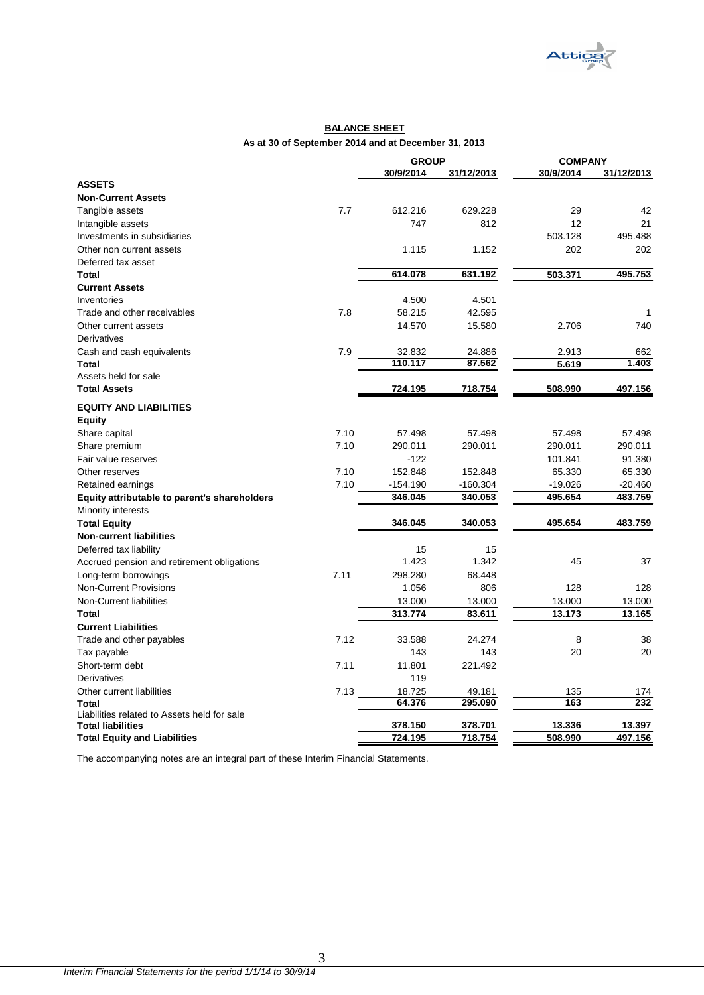

### **BALANCE SHEET As at 30 of September 2014 and at December 31, 2013**

|                                              |      | <b>GROUP</b> |            | <b>COMPANY</b> |            |
|----------------------------------------------|------|--------------|------------|----------------|------------|
|                                              |      | 30/9/2014    | 31/12/2013 | 30/9/2014      | 31/12/2013 |
| <b>ASSETS</b>                                |      |              |            |                |            |
| <b>Non-Current Assets</b>                    |      |              |            |                |            |
| Tangible assets                              | 7.7  | 612.216      | 629.228    | 29             | 42         |
| Intangible assets                            |      | 747          | 812        | 12             | 21         |
| Investments in subsidiaries                  |      |              |            | 503.128        | 495.488    |
| Other non current assets                     |      | 1.115        | 1.152      | 202            | 202        |
| Deferred tax asset                           |      |              |            |                |            |
| Total                                        |      | 614.078      | 631.192    | 503.371        | 495.753    |
| <b>Current Assets</b>                        |      |              |            |                |            |
| Inventories                                  |      | 4.500        | 4.501      |                |            |
| Trade and other receivables                  | 7.8  | 58.215       | 42.595     |                | 1          |
| Other current assets                         |      | 14.570       | 15.580     | 2.706          | 740        |
| <b>Derivatives</b>                           |      |              |            |                |            |
| Cash and cash equivalents                    | 7.9  | 32.832       | 24.886     | 2.913          | 662        |
| <b>Total</b>                                 |      | 110.117      | 87.562     | 5.619          | 1.403      |
| Assets held for sale                         |      |              |            |                |            |
| <b>Total Assets</b>                          |      | 724.195      | 718.754    | 508.990        | 497.156    |
|                                              |      |              |            |                |            |
| <b>EQUITY AND LIABILITIES</b>                |      |              |            |                |            |
| <b>Equity</b>                                |      |              |            |                |            |
| Share capital                                | 7.10 | 57.498       | 57.498     | 57.498         | 57.498     |
| Share premium                                | 7.10 | 290.011      | 290.011    | 290.011        | 290.011    |
| Fair value reserves                          |      | $-122$       |            | 101.841        | 91.380     |
| Other reserves                               | 7.10 | 152.848      | 152.848    | 65.330         | 65.330     |
| Retained earnings                            | 7.10 | $-154.190$   | $-160.304$ | $-19.026$      | $-20.460$  |
| Equity attributable to parent's shareholders |      | 346.045      | 340.053    | 495.654        | 483.759    |
| Minority interests                           |      |              |            |                |            |
| <b>Total Equity</b>                          |      | 346.045      | 340.053    | 495.654        | 483.759    |
| <b>Non-current liabilities</b>               |      |              |            |                |            |
| Deferred tax liability                       |      | 15           | 15         |                |            |
| Accrued pension and retirement obligations   |      | 1.423        | 1.342      | 45             | 37         |
| Long-term borrowings                         | 7.11 | 298.280      | 68.448     |                |            |
| Non-Current Provisions                       |      | 1.056        | 806        | 128            | 128        |
| Non-Current liabilities                      |      | 13.000       | 13.000     | 13.000         | 13.000     |
| Total                                        |      | 313.774      | 83.611     | 13.173         | 13.165     |
| <b>Current Liabilities</b>                   |      |              |            |                |            |
| Trade and other payables                     | 7.12 | 33.588       | 24.274     | 8              | 38         |
| Tax payable                                  |      | 143          | 143        | 20             | 20         |
| Short-term debt                              | 7.11 | 11.801       | 221.492    |                |            |
| Derivatives                                  |      | 119          |            |                |            |
| Other current liabilities                    | 7.13 | 18.725       | 49.181     | 135            | 174        |
| Total                                        |      | 64.376       | 295.090    | 163            | 232        |
| Liabilities related to Assets held for sale  |      |              |            |                |            |
| <b>Total liabilities</b>                     |      | 378.150      | 378.701    | 13.336         | 13.397     |
| <b>Total Equity and Liabilities</b>          |      | 724.195      | 718.754    | 508.990        | 497.156    |
|                                              |      |              |            |                |            |

<span id="page-3-0"></span>The accompanying notes are an integral part of these Interim Financial Statements.

3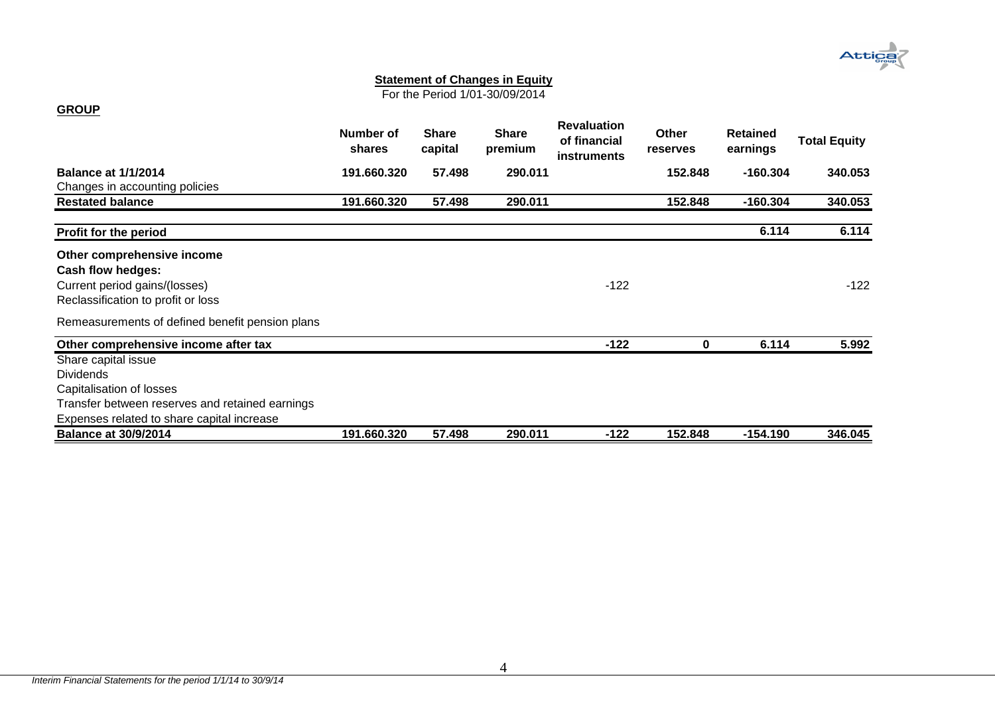# **Attica**

#### **Statement of Changes in Equity**

For the Period 1/01-30/09/2014

<span id="page-4-0"></span>

|                                                 | Number of<br>shares | <b>Share</b><br>capital | Share<br>premium | <b>Revaluation</b><br>of financial<br><b>instruments</b> | Other<br>reserves | <b>Retained</b><br>earnings | <b>Total Equity</b> |
|-------------------------------------------------|---------------------|-------------------------|------------------|----------------------------------------------------------|-------------------|-----------------------------|---------------------|
| <b>Balance at 1/1/2014</b>                      | 191.660.320         | 57.498                  | 290.011          |                                                          | 152.848           | $-160.304$                  | 340.053             |
| Changes in accounting policies                  |                     |                         |                  |                                                          |                   |                             |                     |
| <b>Restated balance</b>                         | 191.660.320         | 57.498                  | 290.011          |                                                          | 152.848           | $-160.304$                  | 340.053             |
| Profit for the period                           |                     |                         |                  |                                                          |                   | 6.114                       | 6.114               |
| Other comprehensive income                      |                     |                         |                  |                                                          |                   |                             |                     |
| Cash flow hedges:                               |                     |                         |                  |                                                          |                   |                             |                     |
| Current period gains/(losses)                   |                     |                         |                  | $-122$                                                   |                   |                             | $-122$              |
| Reclassification to profit or loss              |                     |                         |                  |                                                          |                   |                             |                     |
| Remeasurements of defined benefit pension plans |                     |                         |                  |                                                          |                   |                             |                     |
| Other comprehensive income after tax            |                     |                         |                  | $-122$                                                   | 0                 | 6.114                       | 5.992               |
| Share capital issue                             |                     |                         |                  |                                                          |                   |                             |                     |
| <b>Dividends</b>                                |                     |                         |                  |                                                          |                   |                             |                     |
| Capitalisation of losses                        |                     |                         |                  |                                                          |                   |                             |                     |
| Transfer between reserves and retained earnings |                     |                         |                  |                                                          |                   |                             |                     |
| Expenses related to share capital increase      |                     |                         |                  |                                                          |                   |                             |                     |
| <b>Balance at 30/9/2014</b>                     | 191.660.320         | 57.498                  | 290.011          | $-122$                                                   | 152.848           | $-154.190$                  | 346.045             |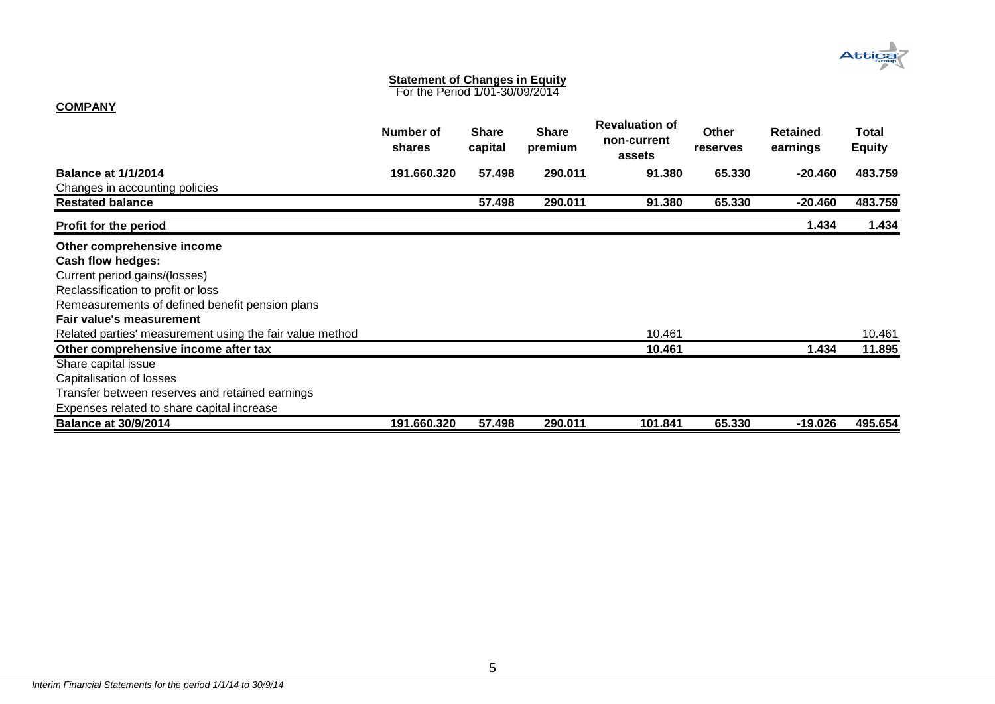

#### **Statement of Changes in Equity**

For the Period 1/01-30/09/2014

# **COMPANY**

<span id="page-5-0"></span>

|                                                          | Number of<br>shares | <b>Share</b><br>capital | <b>Share</b><br>premium | <b>Revaluation of</b><br>non-current<br>assets | <b>Other</b><br><b>reserves</b> | <b>Retained</b><br>earnings | Total<br><b>Equity</b> |
|----------------------------------------------------------|---------------------|-------------------------|-------------------------|------------------------------------------------|---------------------------------|-----------------------------|------------------------|
| <b>Balance at 1/1/2014</b>                               | 191.660.320         | 57.498                  | 290.011                 | 91.380                                         | 65.330                          | $-20.460$                   | 483.759                |
| Changes in accounting policies                           |                     |                         |                         |                                                |                                 |                             |                        |
| <b>Restated balance</b>                                  |                     | 57.498                  | 290.011                 | 91.380                                         | 65.330                          | $-20.460$                   | 483.759                |
| Profit for the period                                    |                     |                         |                         |                                                |                                 | 1.434                       | 1.434                  |
| Other comprehensive income                               |                     |                         |                         |                                                |                                 |                             |                        |
| Cash flow hedges:                                        |                     |                         |                         |                                                |                                 |                             |                        |
| Current period gains/(losses)                            |                     |                         |                         |                                                |                                 |                             |                        |
| Reclassification to profit or loss                       |                     |                         |                         |                                                |                                 |                             |                        |
| Remeasurements of defined benefit pension plans          |                     |                         |                         |                                                |                                 |                             |                        |
| Fair value's measurement                                 |                     |                         |                         |                                                |                                 |                             |                        |
| Related parties' measurement using the fair value method |                     |                         |                         | 10.461                                         |                                 |                             | 10.461                 |
| Other comprehensive income after tax                     |                     |                         |                         | 10.461                                         |                                 | 1.434                       | 11.895                 |
| Share capital issue                                      |                     |                         |                         |                                                |                                 |                             |                        |
| Capitalisation of losses                                 |                     |                         |                         |                                                |                                 |                             |                        |
| Transfer between reserves and retained earnings          |                     |                         |                         |                                                |                                 |                             |                        |
| Expenses related to share capital increase               |                     |                         |                         |                                                |                                 |                             |                        |
| <b>Balance at 30/9/2014</b>                              | 191.660.320         | 57.498                  | 290.011                 | 101.841                                        | 65.330                          | -19.026                     | 495.654                |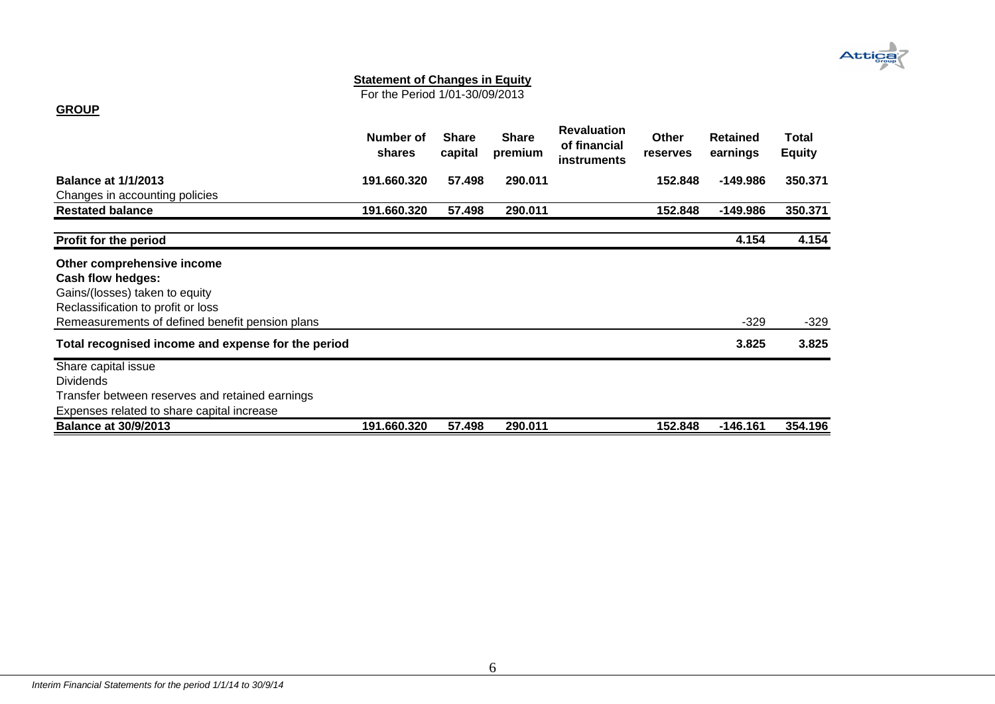# **Attica**

#### **Statement of Changes in Equity**

For the Period 1/01-30/09/2013

# **GROUP**

<span id="page-6-0"></span>

|                                                                                                                                                                            | Number of<br>shares | <b>Share</b><br>capital | <b>Share</b><br>premium | <b>Revaluation</b><br>of financial<br>instruments | <b>Other</b><br>reserves | <b>Retained</b><br>earnings | Total<br><b>Equity</b> |
|----------------------------------------------------------------------------------------------------------------------------------------------------------------------------|---------------------|-------------------------|-------------------------|---------------------------------------------------|--------------------------|-----------------------------|------------------------|
| <b>Balance at 1/1/2013</b><br>Changes in accounting policies                                                                                                               | 191.660.320         | 57.498                  | 290.011                 |                                                   | 152.848                  | -149.986                    | 350.371                |
| <b>Restated balance</b>                                                                                                                                                    | 191.660.320         | 57.498                  | 290.011                 |                                                   | 152.848                  | -149.986                    | 350.371                |
| <b>Profit for the period</b>                                                                                                                                               |                     |                         |                         |                                                   |                          | 4.154                       | 4.154                  |
| Other comprehensive income<br>Cash flow hedges:<br>Gains/(losses) taken to equity<br>Reclassification to profit or loss<br>Remeasurements of defined benefit pension plans |                     |                         |                         |                                                   |                          | $-329$                      | $-329$                 |
| Total recognised income and expense for the period                                                                                                                         |                     |                         |                         |                                                   |                          | 3.825                       | 3.825                  |
| Share capital issue<br><b>Dividends</b><br>Transfer between reserves and retained earnings<br>Expenses related to share capital increase                                   |                     |                         |                         |                                                   |                          |                             |                        |
| <b>Balance at 30/9/2013</b>                                                                                                                                                | 191.660.320         | 57.498                  | 290.011                 |                                                   | 152.848                  | $-146.161$                  | 354.196                |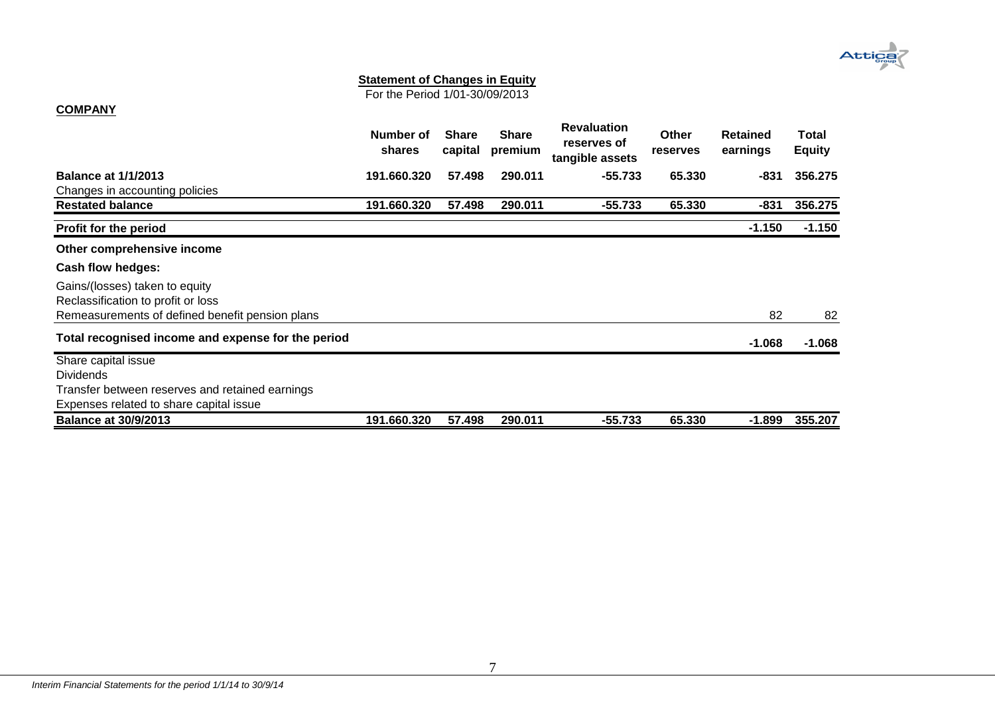# Attica

#### **Statement of Changes in Equity**

For the Period 1/01-30/09/2013

# **COMPANY**

<span id="page-7-0"></span>

|                                                                      | Number of<br>shares | <b>Share</b><br>capital | <b>Share</b><br>premium | <b>Revaluation</b><br>reserves of<br>tangible assets | <b>Other</b><br><b>reserves</b> | Retained<br>earnings | Total<br><b>Equity</b> |
|----------------------------------------------------------------------|---------------------|-------------------------|-------------------------|------------------------------------------------------|---------------------------------|----------------------|------------------------|
| <b>Balance at 1/1/2013</b>                                           | 191.660.320         | 57.498                  | 290.011                 | $-55.733$                                            | 65.330                          | -831                 | 356.275                |
| Changes in accounting policies                                       |                     |                         |                         |                                                      |                                 |                      |                        |
| <b>Restated balance</b>                                              | 191.660.320         | 57.498                  | 290.011                 | $-55.733$                                            | 65.330                          | $-831$               | 356.275                |
| Profit for the period                                                |                     |                         |                         |                                                      |                                 | $-1.150$             | $-1.150$               |
| Other comprehensive income                                           |                     |                         |                         |                                                      |                                 |                      |                        |
| Cash flow hedges:                                                    |                     |                         |                         |                                                      |                                 |                      |                        |
| Gains/(losses) taken to equity<br>Reclassification to profit or loss |                     |                         |                         |                                                      |                                 |                      |                        |
| Remeasurements of defined benefit pension plans                      |                     |                         |                         |                                                      |                                 | 82                   | 82                     |
| Total recognised income and expense for the period                   |                     |                         |                         |                                                      |                                 | $-1.068$             | $-1.068$               |
| Share capital issue                                                  |                     |                         |                         |                                                      |                                 |                      |                        |
| <b>Dividends</b>                                                     |                     |                         |                         |                                                      |                                 |                      |                        |
| Transfer between reserves and retained earnings                      |                     |                         |                         |                                                      |                                 |                      |                        |
| Expenses related to share capital issue                              |                     |                         |                         |                                                      |                                 |                      |                        |
| <b>Balance at 30/9/2013</b>                                          | 191.660.320         | 57.498                  | 290.011                 | $-55.733$                                            | 65.330                          | $-1.899$             | 355.207                |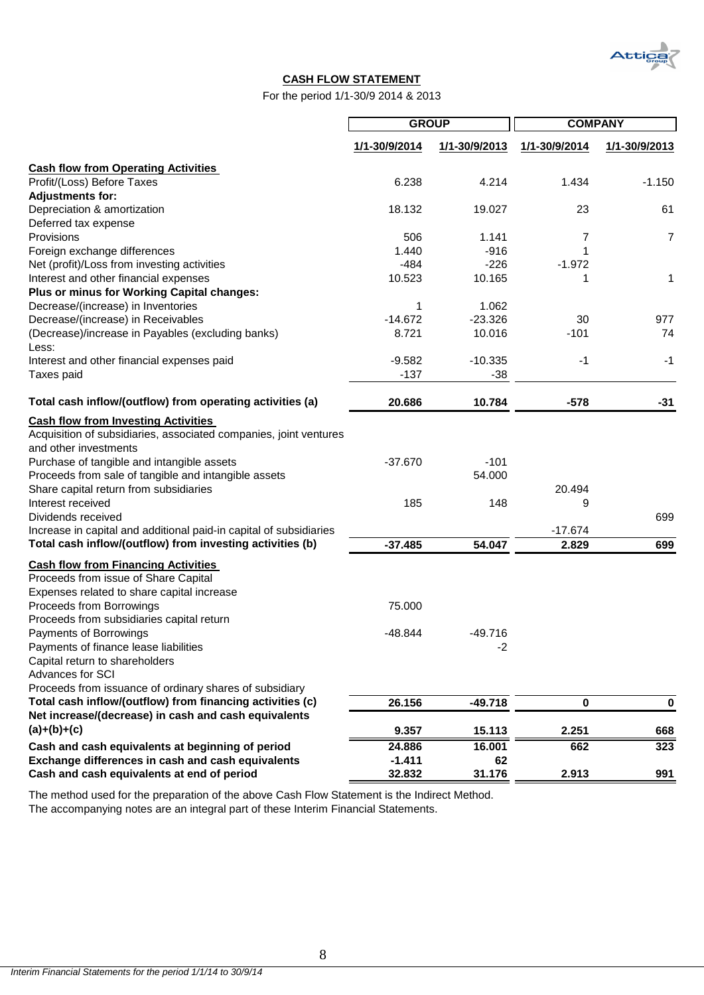

### **CASH FLOW STATEMENT**

For the period 1/1-30/9 2014 & 2013

|                                                                    | <b>GROUP</b>  |               | <b>COMPANY</b> |               |
|--------------------------------------------------------------------|---------------|---------------|----------------|---------------|
|                                                                    | 1/1-30/9/2014 | 1/1-30/9/2013 | 1/1-30/9/2014  | 1/1-30/9/2013 |
| <b>Cash flow from Operating Activities</b>                         |               |               |                |               |
| Profit/(Loss) Before Taxes                                         | 6.238         | 4.214         | 1.434          | $-1.150$      |
| <b>Adjustments for:</b>                                            |               |               |                |               |
| Depreciation & amortization                                        | 18.132        | 19.027        | 23             | 61            |
| Deferred tax expense                                               |               |               |                |               |
| Provisions                                                         | 506           | 1.141         | 7              | 7             |
| Foreign exchange differences                                       | 1.440         | $-916$        | 1              |               |
| Net (profit)/Loss from investing activities                        | $-484$        | $-226$        | $-1.972$       |               |
| Interest and other financial expenses                              | 10.523        | 10.165        | 1              | 1             |
| Plus or minus for Working Capital changes:                         |               |               |                |               |
| Decrease/(increase) in Inventories                                 | 1             | 1.062         |                |               |
| Decrease/(increase) in Receivables                                 | $-14.672$     | $-23.326$     | 30             | 977           |
| (Decrease)/increase in Payables (excluding banks)<br>Less:         | 8.721         | 10.016        | $-101$         | 74            |
| Interest and other financial expenses paid                         | $-9.582$      | $-10.335$     | -1             | $-1$          |
| Taxes paid                                                         | $-137$        | $-38$         |                |               |
| Total cash inflow/(outflow) from operating activities (a)          | 20.686        | 10.784        | $-578$         | $-31$         |
| <b>Cash flow from Investing Activities</b>                         |               |               |                |               |
| Acquisition of subsidiaries, associated companies, joint ventures  |               |               |                |               |
| and other investments                                              |               |               |                |               |
| Purchase of tangible and intangible assets                         | $-37.670$     | $-101$        |                |               |
| Proceeds from sale of tangible and intangible assets               |               | 54.000        |                |               |
| Share capital return from subsidiaries                             |               |               | 20.494         |               |
| Interest received                                                  | 185           | 148           | 9              |               |
| Dividends received                                                 |               |               |                | 699           |
| Increase in capital and additional paid-in capital of subsidiaries |               |               | $-17.674$      |               |
| Total cash inflow/(outflow) from investing activities (b)          | $-37.485$     | 54.047        | 2.829          | 699           |
| <b>Cash flow from Financing Activities</b>                         |               |               |                |               |
| Proceeds from issue of Share Capital                               |               |               |                |               |
| Expenses related to share capital increase                         |               |               |                |               |
| Proceeds from Borrowings                                           | 75.000        |               |                |               |
| Proceeds from subsidiaries capital return                          |               |               |                |               |
| Payments of Borrowings                                             | -48.844       | $-49.716$     |                |               |
| Payments of finance lease liabilities                              |               | $-2$          |                |               |
| Capital return to shareholders                                     |               |               |                |               |
| Advances for SCI                                                   |               |               |                |               |
| Proceeds from issuance of ordinary shares of subsidiary            |               |               |                |               |
| Total cash inflow/(outflow) from financing activities (c)          | 26.156        | $-49.718$     | $\pmb{0}$      | 0             |
| Net increase/(decrease) in cash and cash equivalents               |               |               |                |               |
| $(a)+(b)+(c)$                                                      | 9.357         | 15.113        | 2.251          | 668           |
| Cash and cash equivalents at beginning of period                   | 24.886        | 16.001        | 662            | 323           |
| Exchange differences in cash and cash equivalents                  | $-1.411$      | 62            |                |               |
| Cash and cash equivalents at end of period                         | 32.832        | 31.176        | 2.913          | 991           |

The method used for the preparation of the above Cash Flow Statement is the Indirect Method.

<span id="page-8-0"></span>The accompanying notes are an integral part of these Interim Financial Statements.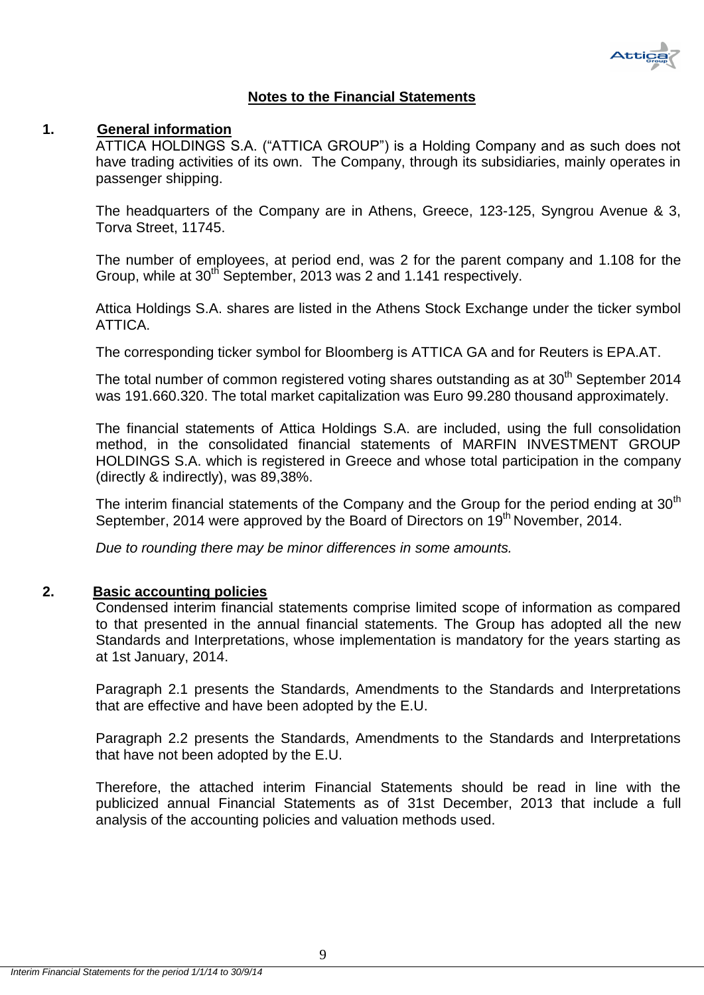

# **Notes to the Financial Statements**

# <span id="page-9-1"></span><span id="page-9-0"></span>**1. General information**

ATTICA HOLDINGS S.A. ("ATTICA GROUP") is a Holding Company and as such does not have trading activities of its own. The Company, through its subsidiaries, mainly operates in passenger shipping.

The headquarters of the Company are in Athens, Greece, 123-125, Syngrou Avenue & 3, Torva Street, 11745.

The number of employees, at period end, was 2 for the parent company and 1.108 for the Group, while at 30<sup>th</sup> September, 2013 was 2 and 1.141 respectively.

Attica Holdings S.A. shares are listed in the Athens Stock Exchange under the ticker symbol ATTICA.

The corresponding ticker symbol for Bloomberg is ATTICA GA and for Reuters is EPA.AT.

The total number of common registered voting shares outstanding as at 30<sup>th</sup> September 2014 was 191.660.320. The total market capitalization was Euro 99.280 thousand approximately.

The financial statements of Attica Holdings S.A. are included, using the full consolidation method, in the consolidated financial statements of MARFIN INVESTMENT GROUP HOLDINGS S.A. which is registered in Greece and whose total participation in the company (directly & indirectly), was 89,38%.

The interim financial statements of the Company and the Group for the period ending at  $30<sup>th</sup>$ September, 2014 were approved by the Board of Directors on 19<sup>th</sup> November, 2014.

*Due to rounding there may be minor differences in some amounts.*

# <span id="page-9-2"></span>**2. Basic accounting policies**

Condensed interim financial statements comprise limited scope of information as compared to that presented in the annual financial statements. The Group has adopted all the new Standards and Interpretations, whose implementation is mandatory for the years starting as at 1st January, 2014.

Paragraph 2.1 presents the Standards, Amendments to the Standards and Interpretations that are effective and have been adopted by the E.U.

Paragraph 2.2 presents the Standards, Amendments to the Standards and Interpretations that have not been adopted by the E.U.

Therefore, the attached interim Financial Statements should be read in line with the publicized annual Financial Statements as of 31st December, 2013 that include a full analysis of the accounting policies and valuation methods used.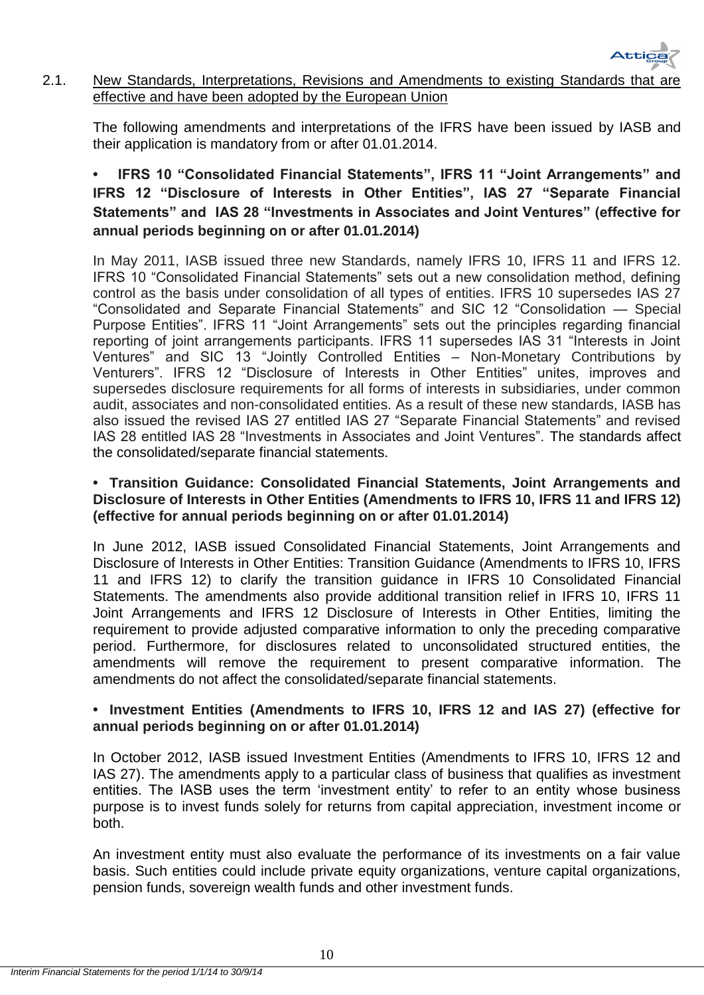

# 2.1. New Standards, Interpretations, Revisions and Amendments to existing Standards that are effective and have been adopted by the European Union

The following amendments and interpretations of the IFRS have been issued by IASB and their application is mandatory from or after 01.01.2014.

# **• IFRS 10 "Consolidated Financial Statements", IFRS 11 "Joint Arrangements" and IFRS 12 "Disclosure of Interests in Other Entities", IAS 27 "Separate Financial Statements" and IAS 28 "Investments in Associates and Joint Ventures" (effective for annual periods beginning on or after 01.01.2014)**

In May 2011, IASB issued three new Standards, namely IFRS 10, IFRS 11 and IFRS 12. IFRS 10 "Consolidated Financial Statements" sets out a new consolidation method, defining control as the basis under consolidation of all types of entities. IFRS 10 supersedes IAS 27 "Consolidated and Separate Financial Statements" and SIC 12 "Consolidation — Special Purpose Entities". IFRS 11 "Joint Arrangements" sets out the principles regarding financial reporting of joint arrangements participants. IFRS 11 supersedes IAS 31 "Interests in Joint Ventures" and SIC 13 "Jointly Controlled Entities – Non-Monetary Contributions by Venturers". IFRS 12 "Disclosure of Interests in Other Entities" unites, improves and supersedes disclosure requirements for all forms of interests in subsidiaries, under common audit, associates and non-consolidated entities. As a result of these new standards, IASB has also issued the revised IAS 27 entitled IAS 27 "Separate Financial Statements" and revised IAS 28 entitled IAS 28 "Investments in Associates and Joint Ventures". The standards affect the consolidated/separate financial statements.

# **• Transition Guidance: Consolidated Financial Statements, Joint Arrangements and Disclosure of Interests in Other Entities (Amendments to IFRS 10, IFRS 11 and IFRS 12) (effective for annual periods beginning on or after 01.01.2014)**

In June 2012, IASB issued Consolidated Financial Statements, Joint Arrangements and Disclosure of Interests in Other Entities: Transition Guidance (Amendments to IFRS 10, IFRS 11 and IFRS 12) to clarify the transition guidance in IFRS 10 Consolidated Financial Statements. The amendments also provide additional transition relief in IFRS 10, IFRS 11 Joint Arrangements and IFRS 12 Disclosure of Interests in Other Entities, limiting the requirement to provide adjusted comparative information to only the preceding comparative period. Furthermore, for disclosures related to unconsolidated structured entities, the amendments will remove the requirement to present comparative information. The amendments do not affect the consolidated/separate financial statements.

# **• Investment Entities (Amendments to IFRS 10, IFRS 12 and IAS 27) (effective for annual periods beginning on or after 01.01.2014)**

In October 2012, IASB issued Investment Entities (Amendments to IFRS 10, IFRS 12 and IAS 27). The amendments apply to a particular class of business that qualifies as investment entities. The IASB uses the term 'investment entity' to refer to an entity whose business purpose is to invest funds solely for returns from capital appreciation, investment income or both.

An investment entity must also evaluate the performance of its investments on a fair value basis. Such entities could include private equity organizations, venture capital organizations, pension funds, sovereign wealth funds and other investment funds.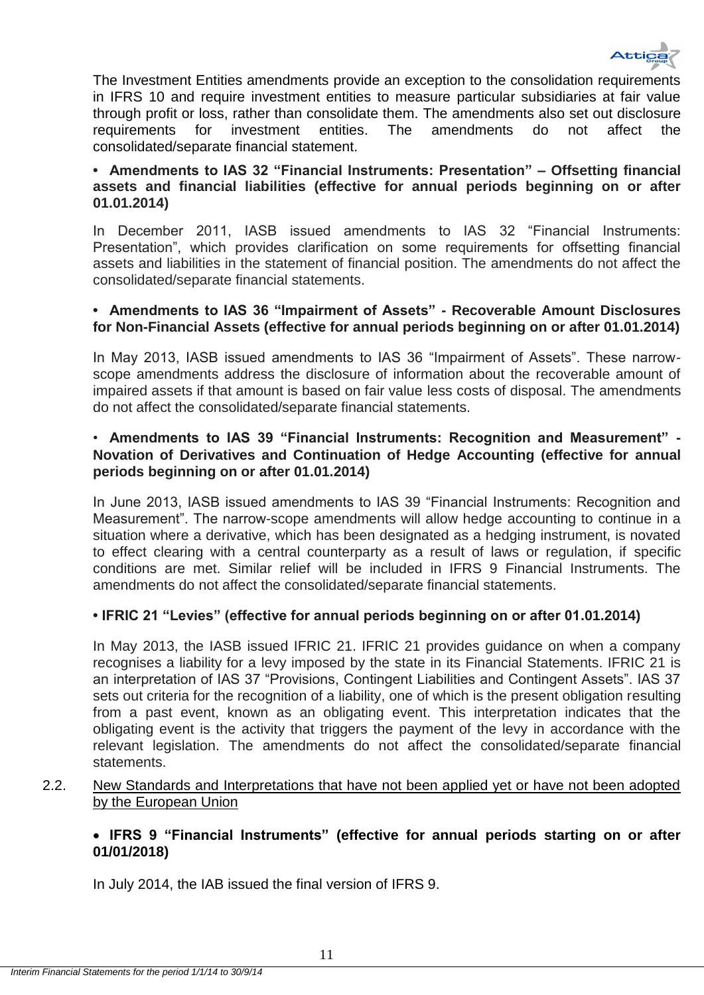

The Investment Entities amendments provide an exception to the consolidation requirements in IFRS 10 and require investment entities to measure particular subsidiaries at fair value through profit or loss, rather than consolidate them. The amendments also set out disclosure requirements for investment entities. The amendments do not affect the consolidated/separate financial statement.

# **• Amendments to IAS 32 "Financial Instruments: Presentation" – Offsetting financial assets and financial liabilities (effective for annual periods beginning on or after 01.01.2014)**

In December 2011, IASB issued amendments to IAS 32 "Financial Instruments: Presentation", which provides clarification on some requirements for offsetting financial assets and liabilities in the statement of financial position. The amendments do not affect the consolidated/separate financial statements.

# **• Amendments to IAS 36 "Impairment of Assets" - Recoverable Amount Disclosures for Non-Financial Assets (effective for annual periods beginning on or after 01.01.2014)**

In May 2013, IASB issued amendments to IAS 36 "Impairment of Assets". These narrowscope amendments address the disclosure of information about the recoverable amount of impaired assets if that amount is based on fair value less costs of disposal. The amendments do not affect the consolidated/separate financial statements.

# • **Amendments to IAS 39 "Financial Instruments: Recognition and Measurement" - Novation of Derivatives and Continuation of Hedge Accounting (effective for annual periods beginning on or after 01.01.2014)**

In June 2013, IASB issued amendments to IAS 39 "Financial Instruments: Recognition and Measurement". The narrow-scope amendments will allow hedge accounting to continue in a situation where a derivative, which has been designated as a hedging instrument, is novated to effect clearing with a central counterparty as a result of laws or regulation, if specific conditions are met. Similar relief will be included in IFRS 9 Financial Instruments. The amendments do not affect the consolidated/separate financial statements.

# **• IFRIC 21 "Levies" (effective for annual periods beginning on or after 01.01.2014)**

In May 2013, the IASB issued IFRIC 21. IFRIC 21 provides guidance on when a company recognises a liability for a levy imposed by the state in its Financial Statements. IFRIC 21 is an interpretation of IAS 37 "Provisions, Contingent Liabilities and Contingent Assets". IAS 37 sets out criteria for the recognition of a liability, one of which is the present obligation resulting from a past event, known as an obligating event. This interpretation indicates that the obligating event is the activity that triggers the payment of the levy in accordance with the relevant legislation. The amendments do not affect the consolidated/separate financial statements.

<span id="page-11-0"></span>2.2. New Standards and Interpretations that have not been applied yet or have not been adopted by the European Union

# **IFRS 9 "Financial Instruments" (effective for annual periods starting on or after 01/01/2018)**

In July 2014, the IAB issued the final version of IFRS 9.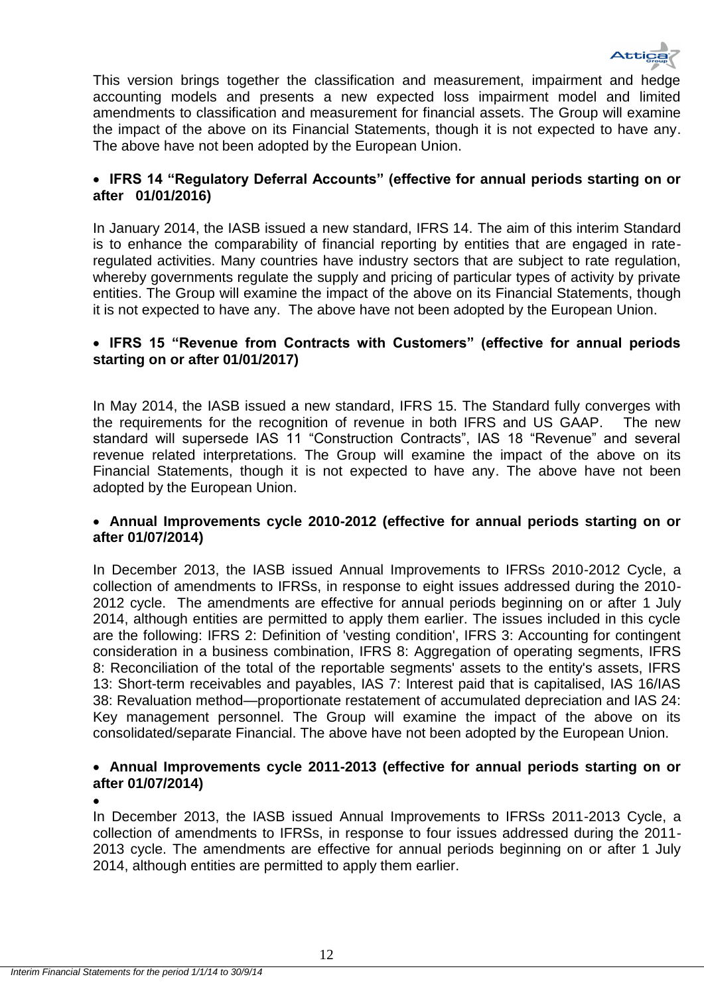

This version brings together the classification and measurement, impairment and hedge accounting models and presents a new expected loss impairment model and limited amendments to classification and measurement for financial assets. The Group will examine the impact of the above on its Financial Statements, though it is not expected to have any. The above have not been adopted by the European Union.

# **IFRS 14 "Regulatory Deferral Accounts" (effective for annual periods starting on or after 01/01/2016)**

In January 2014, the IASB issued a new standard, IFRS 14. The aim of this interim Standard is to enhance the comparability of financial reporting by entities that are engaged in rateregulated activities. Many countries have industry sectors that are subject to rate regulation, whereby governments regulate the supply and pricing of particular types of activity by private entities. The Group will examine the impact of the above on its Financial Statements, though it is not expected to have any. The above have not been adopted by the European Union.

# **IFRS 15 "Revenue from Contracts with Customers" (effective for annual periods starting on or after 01/01/2017)**

In May 2014, the IASB issued a new standard, IFRS 15. The Standard fully converges with the requirements for the recognition of revenue in both IFRS and US GAAP. The new standard will supersede IAS 11 "Construction Contracts", IAS 18 "Revenue" and several revenue related interpretations. The Group will examine the impact of the above on its Financial Statements, though it is not expected to have any. The above have not been adopted by the European Union.

# **Annual Improvements cycle 2010-2012 (effective for annual periods starting on or after 01/07/2014)**

In December 2013, the IASB issued Annual Improvements to IFRSs 2010-2012 Cycle, a collection of amendments to IFRSs, in response to eight issues addressed during the 2010- 2012 cycle. The amendments are effective for annual periods beginning on or after 1 July 2014, although entities are permitted to apply them earlier. The issues included in this cycle are the following: IFRS 2: Definition of 'vesting condition', IFRS 3: Accounting for contingent consideration in a business combination, IFRS 8: Aggregation of operating segments, IFRS 8: Reconciliation of the total of the reportable segments' assets to the entity's assets, IFRS 13: Short-term receivables and payables, IAS 7: Interest paid that is capitalised, IAS 16/IAS 38: Revaluation method—proportionate restatement of accumulated depreciation and IAS 24: Key management personnel. The Group will examine the impact of the above on its consolidated/separate Financial. The above have not been adopted by the European Union.

# **Annual Improvements cycle 2011-2013 (effective for annual periods starting on or after 01/07/2014)**

 $\bullet$ 

In December 2013, the IASB issued Annual Improvements to IFRSs 2011-2013 Cycle, a collection of amendments to IFRSs, in response to four issues addressed during the 2011- 2013 cycle. The amendments are effective for annual periods beginning on or after 1 July 2014, although entities are permitted to apply them earlier.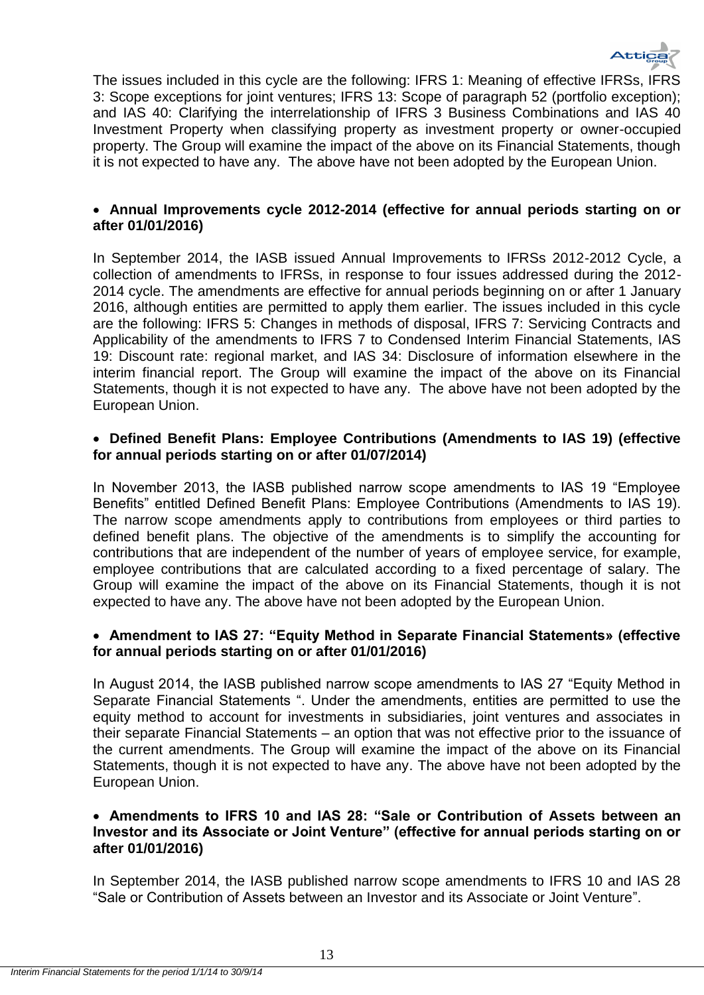

The issues included in this cycle are the following: IFRS 1: Meaning of effective IFRSs, IFRS 3: Scope exceptions for joint ventures; IFRS 13: Scope of paragraph 52 (portfolio exception); and IAS 40: Clarifying the interrelationship of IFRS 3 Business Combinations and IAS 40 Investment Property when classifying property as investment property or owner-occupied property. The Group will examine the impact of the above on its Financial Statements, though it is not expected to have any. The above have not been adopted by the European Union.

# **Annual Improvements cycle 2012-2014 (effective for annual periods starting on or after 01/01/2016)**

In September 2014, the IASB issued Annual Improvements to IFRSs 2012-2012 Cycle, a collection of amendments to IFRSs, in response to four issues addressed during the 2012- 2014 cycle. The amendments are effective for annual periods beginning on or after 1 January 2016, although entities are permitted to apply them earlier. The issues included in this cycle are the following: IFRS 5: Changes in methods of disposal, IFRS 7: Servicing Contracts and Applicability of the amendments to IFRS 7 to Condensed Interim Financial Statements, IAS 19: Discount rate: regional market, and IAS 34: Disclosure of information elsewhere in the interim financial report. The Group will examine the impact of the above on its Financial Statements, though it is not expected to have any. The above have not been adopted by the European Union.

# **[Defined Benefit Plans: Employee Contributions](http://www.ifrs.org/Current-Projects/IASB-Projects/Defined-Benefit-Plans-Employee-Contributions/Pages/IAS-19-Employee-Benefits.aspx) (Amendments to IAS 19) (effective for annual periods starting on or after 01/07/2014)**

In November 2013, the IASB published narrow scope amendments to IAS 19 "Employee Benefits" entitled Defined Benefit Plans: Employee Contributions (Amendments to IAS 19). The narrow scope amendments apply to contributions from employees or third parties to defined benefit plans. The objective of the amendments is to simplify the accounting for contributions that are independent of the number of years of employee service, for example, employee contributions that are calculated according to a fixed percentage of salary. The Group will examine the impact of the above on its Financial Statements, though it is not expected to have any. The above have not been adopted by the European Union.

# **Amendment to IAS 27: "Equity Method in Separate Financial Statements» (effective for annual periods starting on or after 01/01/2016)**

In August 2014, the IASB published narrow scope amendments to IAS 27 "Equity Method in Separate Financial Statements ". Under the amendments, entities are permitted to use the equity method to account for investments in subsidiaries, joint ventures and associates in their separate Financial Statements – an option that was not effective prior to the issuance of the current amendments. The Group will examine the impact of the above on its Financial Statements, though it is not expected to have any. The above have not been adopted by the European Union.

# **Amendments to IFRS 10 and IAS 28: "Sale or Contribution of Assets between an Investor and its Associate or Joint Venture" (effective for annual periods starting on or after 01/01/2016)**

In September 2014, the IASB published narrow scope amendments to IFRS 10 and IAS 28 "Sale or Contribution of Assets between an Investor and its Associate or Joint Venture".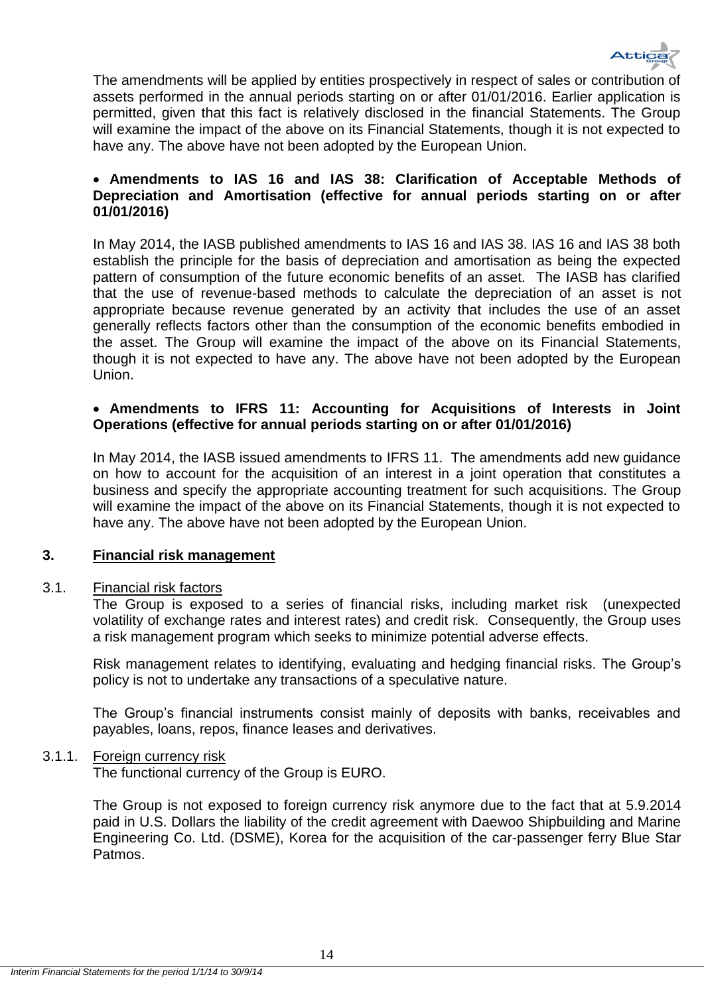

The amendments will be applied by entities prospectively in respect of sales or contribution of assets performed in the annual periods starting on or after 01/01/2016. Earlier application is permitted, given that this fact is relatively disclosed in the financial Statements. The Group will examine the impact of the above on its Financial Statements, though it is not expected to have any. The above have not been adopted by the European Union.

# **Amendments to IAS 16 and IAS 38: Clarification of Acceptable Methods of Depreciation and Amortisation (effective for annual periods starting on or after 01/01/2016)**

In May 2014, the IASB published amendments to IAS 16 and IAS 38. IAS 16 and IAS 38 both establish the principle for the basis of depreciation and amortisation as being the expected pattern of consumption of the future economic benefits of an asset. The IASB has clarified that the use of revenue-based methods to calculate the depreciation of an asset is not appropriate because revenue generated by an activity that includes the use of an asset generally reflects factors other than the consumption of the economic benefits embodied in the asset. The Group will examine the impact of the above on its Financial Statements, though it is not expected to have any. The above have not been adopted by the European Union.

# **Amendments to IFRS 11: Accounting for Acquisitions of Interests in Joint Operations (effective for annual periods starting on or after 01/01/2016)**

In May 2014, the IASB issued amendments to IFRS 11. The amendments add new guidance on how to account for the acquisition of an interest in a joint operation that constitutes a business and specify the appropriate accounting treatment for such acquisitions. The Group will examine the impact of the above on its Financial Statements, though it is not expected to have any. The above have not been adopted by the European Union.

# <span id="page-14-0"></span>**3. Financial risk management**

# <span id="page-14-1"></span>3.1. Financial risk factors

The Group is exposed to a series of financial risks, including market risk (unexpected volatility of exchange rates and interest rates) and credit risk. Consequently, the Group uses a risk management program which seeks to minimize potential adverse effects.

Risk management relates to identifying, evaluating and hedging financial risks. The Group's policy is not to undertake any transactions of a speculative nature.

The Group's financial instruments consist mainly of deposits with banks, receivables and payables, loans, repos, finance leases and derivatives.

# <span id="page-14-2"></span>3.1.1. Foreign currency risk

The functional currency of the Group is EURO.

The Group is not exposed to foreign currency risk anymore due to the fact that at 5.9.2014 paid in U.S. Dollars the liability of the credit agreement with Daewoo Shipbuilding and Marine Engineering Co. Ltd. (DSME), Korea for the acquisition of the car-passenger ferry Blue Star Patmos.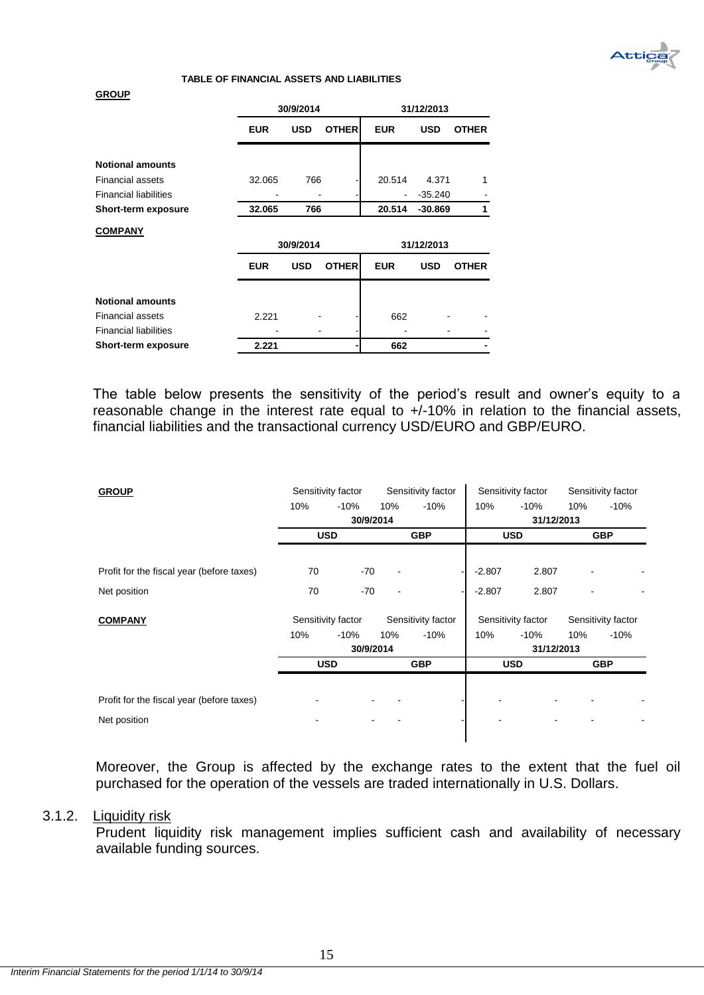

#### **TABLE OF FINANCIAL ASSETS AND LIABILITIES**

#### **GROUP**

|                              |            | 30/9/2014  |              |                              | 31/12/2013 |              |
|------------------------------|------------|------------|--------------|------------------------------|------------|--------------|
|                              | <b>EUR</b> | <b>USD</b> | <b>OTHER</b> | <b>EUR</b>                   | <b>USD</b> | <b>OTHER</b> |
| <b>Notional amounts</b>      |            |            |              |                              |            |              |
| <b>Financial assets</b>      | 32.065     | 766        |              | 20.514                       | 4.371      | 1            |
| <b>Financial liabilities</b> |            |            |              | $\qquad \qquad \blacksquare$ | $-35.240$  |              |
| Short-term exposure          | 32.065     | 766        |              | 20.514                       | $-30.869$  | 1            |
| <b>COMPANY</b>               |            | 30/9/2014  |              |                              | 31/12/2013 |              |
|                              | <b>EUR</b> | <b>USD</b> | <b>OTHER</b> | <b>EUR</b>                   | <b>USD</b> | <b>OTHER</b> |
| <b>Notional amounts</b>      |            |            |              |                              |            |              |
| <b>Financial assets</b>      | 2.221      |            |              | 662                          |            |              |
| <b>Financial liabilities</b> |            |            |              |                              |            |              |
| <b>Short-term exposure</b>   | 2.221      |            |              | 662                          |            |              |

The table below presents the sensitivity of the period's result and owner's equity to a reasonable change in the interest rate equal to +/-10% in relation to the financial assets, financial liabilities and the transactional currency USD/EURO and GBP/EURO.

| <b>GROUP</b>                              | Sensitivity factor |           |     | Sensitivity factor |          | Sensitivity factor |     | Sensitivity factor |
|-------------------------------------------|--------------------|-----------|-----|--------------------|----------|--------------------|-----|--------------------|
|                                           | 10%                | $-10%$    | 10% | $-10%$             | 10%      | $-10%$             | 10% | $-10%$             |
|                                           |                    | 30/9/2014 |     |                    |          | 31/12/2013         |     |                    |
|                                           | <b>USD</b>         |           |     | <b>GBP</b>         |          | <b>USD</b>         |     | <b>GBP</b>         |
|                                           |                    |           |     |                    |          |                    |     |                    |
| Profit for the fiscal year (before taxes) | 70                 | -70       |     |                    | $-2.807$ | 2.807              |     |                    |
| Net position                              | 70                 | $-70$     |     |                    | $-2.807$ | 2.807              |     |                    |
| <b>COMPANY</b>                            | Sensitivity factor |           |     | Sensitivity factor |          | Sensitivity factor |     | Sensitivity factor |
|                                           | 10%                | $-10%$    | 10% | $-10%$             | 10%      | $-10%$             | 10% | $-10%$             |
|                                           |                    | 30/9/2014 |     |                    |          | 31/12/2013         |     |                    |
|                                           | <b>USD</b>         |           |     | <b>GBP</b>         |          | <b>USD</b>         |     | <b>GBP</b>         |
|                                           |                    |           |     |                    |          |                    |     |                    |
| Profit for the fiscal year (before taxes) |                    |           |     |                    |          |                    |     |                    |
| Net position                              |                    |           |     |                    |          |                    |     |                    |
|                                           |                    |           |     |                    |          |                    |     |                    |

Moreover, the Group is affected by the exchange rates to the extent that the fuel oil purchased for the operation of the vessels are traded internationally in U.S. Dollars.

### <span id="page-15-0"></span>3.1.2. Liquidity risk

Prudent liquidity risk management implies sufficient cash and availability of necessary available funding sources.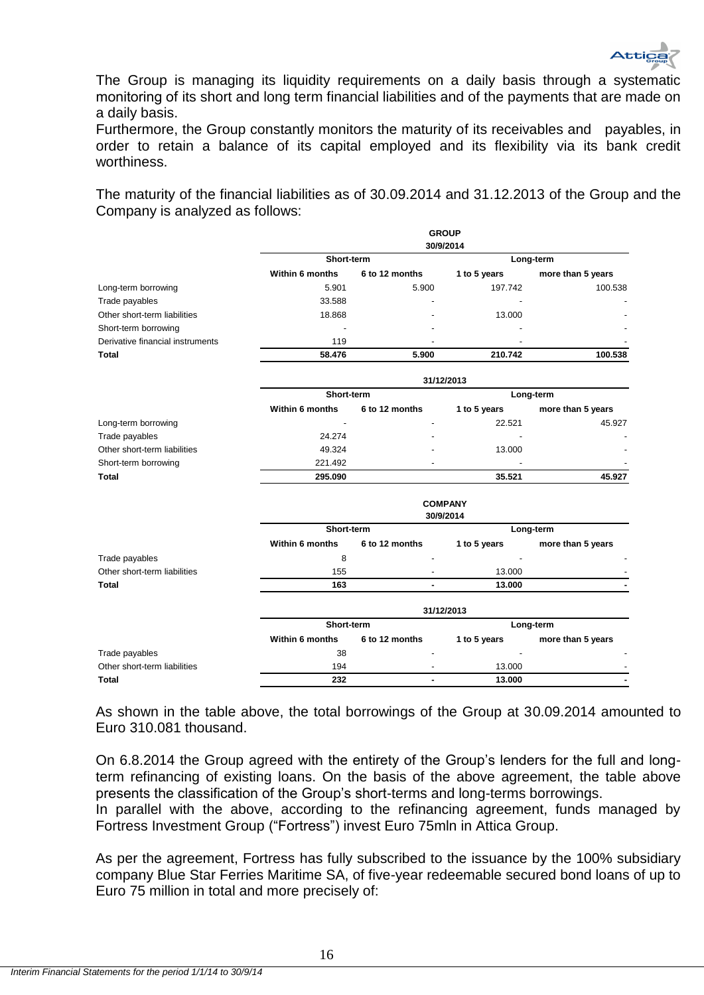

The Group is managing its liquidity requirements on a daily basis through a systematic monitoring οf its short and long term financial liabilities and of the payments that are made on a daily basis.

Furthermore, the Group constantly monitors the maturity of its receivables and payables, in order to retain a balance of its capital employed and its flexibility via its bank credit worthiness.

The maturity of the financial liabilities as of 30.09.2014 and 31.12.2013 of the Group and the Company is analyzed as follows:

|                                  |                        |                | <b>GROUP</b><br>30/9/2014 |                   |  |  |  |  |  |  |
|----------------------------------|------------------------|----------------|---------------------------|-------------------|--|--|--|--|--|--|
|                                  | Short-term             |                |                           | Long-term         |  |  |  |  |  |  |
|                                  | <b>Within 6 months</b> | 6 to 12 months | 1 to 5 years              | more than 5 years |  |  |  |  |  |  |
| Long-term borrowing              | 5.901                  | 5.900          | 197.742                   | 100.538           |  |  |  |  |  |  |
| Trade payables                   | 33.588                 |                |                           |                   |  |  |  |  |  |  |
| Other short-term liabilities     | 18.868                 |                | 13.000                    |                   |  |  |  |  |  |  |
| Short-term borrowing             |                        |                |                           |                   |  |  |  |  |  |  |
| Derivative financial instruments | 119                    |                |                           |                   |  |  |  |  |  |  |
| Total                            | 58.476                 | 5.900          | 210.742                   | 100.538           |  |  |  |  |  |  |
|                                  | 31/12/2013             |                |                           |                   |  |  |  |  |  |  |
|                                  | Short-term             |                |                           | Long-term         |  |  |  |  |  |  |
|                                  | Within 6 months        | 6 to 12 months | 1 to 5 years              | more than 5 years |  |  |  |  |  |  |
| Long-term borrowing              |                        |                | 22.521                    | 45.927            |  |  |  |  |  |  |
| Trade payables                   | 24.274                 |                |                           |                   |  |  |  |  |  |  |
| Other short-term liabilities     | 49.324                 |                | 13.000                    |                   |  |  |  |  |  |  |
| Short-term borrowing             | 221.492                |                |                           |                   |  |  |  |  |  |  |
| <b>Total</b>                     | 295.090                |                | 35.521                    | 45.927            |  |  |  |  |  |  |
|                                  | <b>COMPANY</b>         |                |                           |                   |  |  |  |  |  |  |
|                                  |                        |                | 30/9/2014                 |                   |  |  |  |  |  |  |
|                                  | Short-term             |                |                           | Long-term         |  |  |  |  |  |  |
|                                  | Within 6 months        | 6 to 12 months | 1 to 5 years              | more than 5 years |  |  |  |  |  |  |
| Trade payables                   | 8                      |                |                           |                   |  |  |  |  |  |  |
| Other short-term liabilities     | 155                    |                | 13.000                    |                   |  |  |  |  |  |  |
| <b>Total</b>                     | 163                    |                | 13.000                    |                   |  |  |  |  |  |  |
|                                  |                        |                | 31/12/2013                |                   |  |  |  |  |  |  |
|                                  | Short-term             |                |                           | Long-term         |  |  |  |  |  |  |
|                                  | Within 6 months        | 6 to 12 months | 1 to 5 years              | more than 5 years |  |  |  |  |  |  |
| Trade payables                   | 38                     |                |                           |                   |  |  |  |  |  |  |
| Other short-term liabilities     | 194                    |                | 13.000                    |                   |  |  |  |  |  |  |
| Total                            | 232                    |                | 13.000                    |                   |  |  |  |  |  |  |

As shown in the table above, the total borrowings of the Group at 30.09.2014 amounted to Euro 310.081 thousand.

On 6.8.2014 the Group agreed with the entirety of the Group's lenders for the full and longterm refinancing of existing loans. On the basis of the above agreement, the table above presents the classification of the Group's short-terms and long-terms borrowings.

In parallel with the above, according to the refinancing agreement, funds managed by Fortress Investment Group ("Fortress") invest Euro 75mln in Attica Group.

As per the agreement, Fortress has fully subscribed to the issuance by the 100% subsidiary company Blue Star Ferries Maritime SA, of five-year redeemable secured bond loans of up to Euro 75 million in total and more precisely of: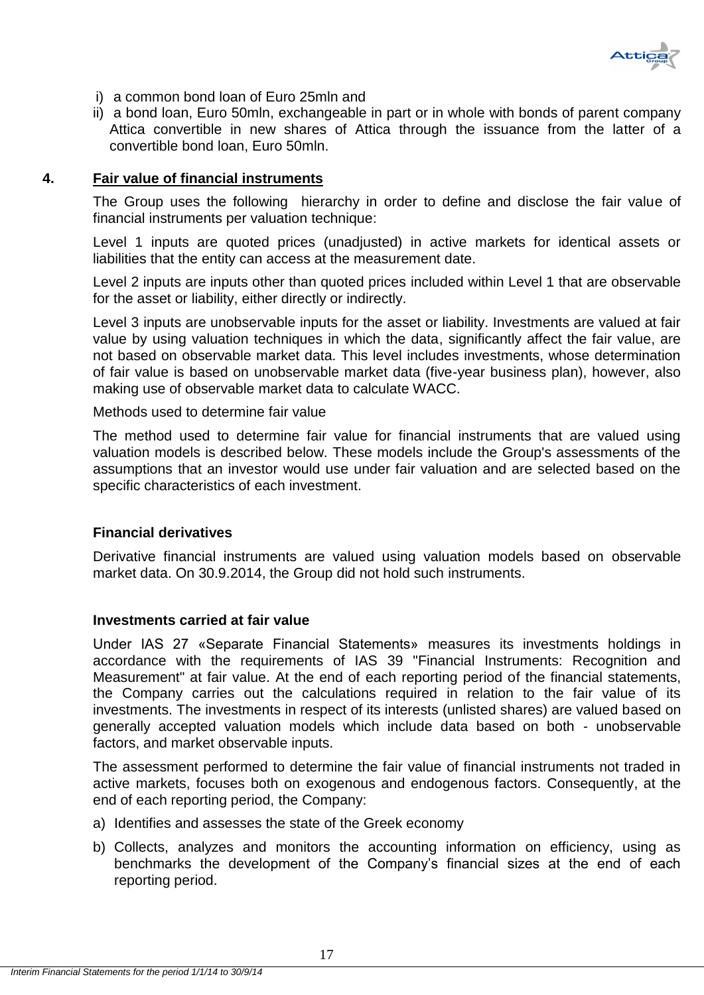

- i) a common bond loan of Euro 25mln and
- ii) a bond loan, Euro 50mln, exchangeable in part or in whole with bonds of parent company Attica convertible in new shares of Attica through the issuance from the latter of a convertible bond loan, Euro 50mln.

# <span id="page-17-0"></span>**4. Fair value of financial instruments**

The Group uses the following hierarchy in order to define and disclose the fair value of financial instruments per valuation technique:

Level 1 inputs are quoted prices (unadjusted) in active markets for identical assets or liabilities that the entity can access at the measurement date.

Level 2 inputs are inputs other than quoted prices included within Level 1 that are observable for the asset or liability, either directly or indirectly.

Level 3 inputs are unobservable inputs for the asset or liability. Investments are valued at fair value by using valuation techniques in which the data, significantly affect the fair value, are not based on observable market data. This level includes investments, whose determination of fair value is based on unobservable market data (five-year business plan), however, also making use of observable market data to calculate WACC.

Methods used to determine fair value

The method used to determine fair value for financial instruments that are valued using valuation models is described below. These models include the Group's assessments of the assumptions that an investor would use under fair valuation and are selected based on the specific characteristics of each investment.

# **Financial derivatives**

Derivative financial instruments are valued using valuation models based on observable market data. On 30.9.2014, the Group did not hold such instruments.

# **Investments carried at fair value**

Under IAS 27 «Separate Financial Statements» measures its investments holdings in accordance with the requirements of IAS 39 "Financial Instruments: Recognition and Measurement" at fair value. At the end of each reporting period of the financial statements, the Company carries out the calculations required in relation to the fair value of its investments. The investments in respect of its interests (unlisted shares) are valued based on generally accepted valuation models which include data based on both - unobservable factors, and market observable inputs.

The assessment performed to determine the fair value of financial instruments not traded in active markets, focuses both on exogenous and endogenous factors. Consequently, at the end of each reporting period, the Company:

- a) Identifies and assesses the state of the Greek economy
- b) Collects, analyzes and monitors the accounting information on efficiency, using as benchmarks the development of the Company's financial sizes at the end of each reporting period.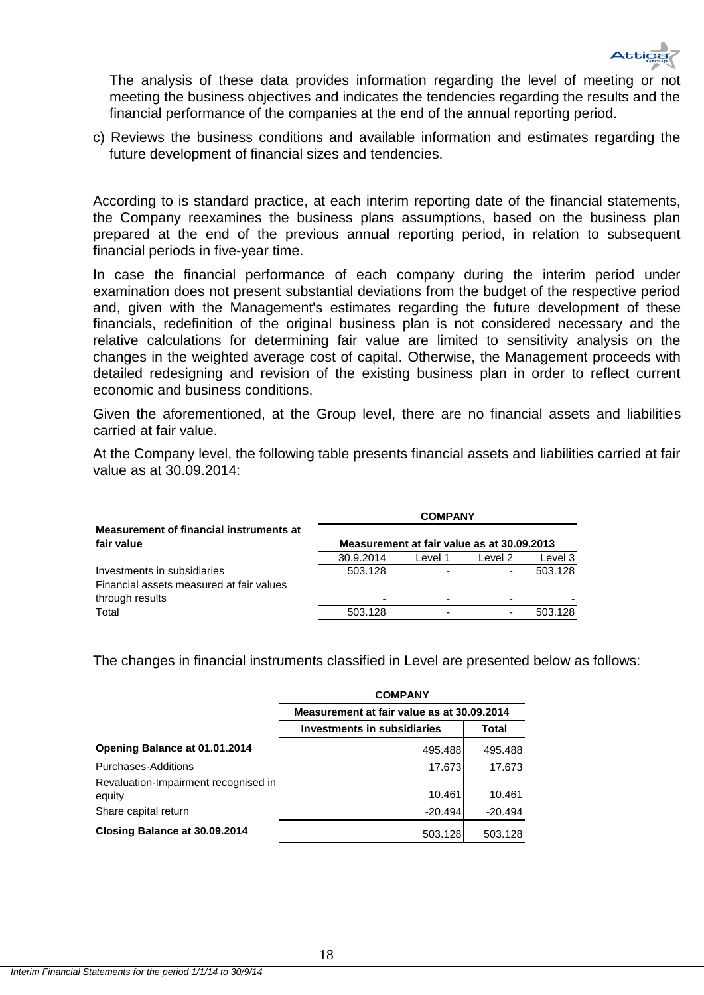

The analysis of these data provides information regarding the level of meeting or not meeting the business objectives and indicates the tendencies regarding the results and the financial performance of the companies at the end of the annual reporting period.

c) Reviews the business conditions and available information and estimates regarding the future development of financial sizes and tendencies.

According to is standard practice, at each interim reporting date of the financial statements, the Company reexamines the business plans assumptions, based on the business plan prepared at the end of the previous annual reporting period, in relation to subsequent financial periods in five-year time.

In case the financial performance of each company during the interim period under examination does not present substantial deviations from the budget of the respective period and, given with the Management's estimates regarding the future development of these financials, redefinition of the original business plan is not considered necessary and the relative calculations for determining fair value are limited to sensitivity analysis on the changes in the weighted average cost of capital. Otherwise, the Management proceeds with detailed redesigning and revision of the existing business plan in order to reflect current economic and business conditions.

Given the aforementioned, at the Group level, there are no financial assets and liabilities carried at fair value.

At the Company level, the following table presents financial assets and liabilities carried at fair value as at 30.09.2014:

|                                                                         | <b>COMPANY</b> |                                            |         |         |  |  |
|-------------------------------------------------------------------------|----------------|--------------------------------------------|---------|---------|--|--|
| Measurement of financial instruments at<br>fair value                   |                | Measurement at fair value as at 30.09.2013 |         |         |  |  |
|                                                                         | 30.9.2014      | Level 1                                    | Level 2 | Level 3 |  |  |
| Investments in subsidiaries<br>Financial assets measured at fair values | 503.128        | ۰                                          | -       | 503.128 |  |  |
| through results                                                         |                | ۰                                          |         |         |  |  |
| Total                                                                   | 503.128        | -                                          | -       | 503 128 |  |  |

The changes in financial instruments classified in Level are presented below as follows:

|                                      | <b>COMPANY</b>                             |           |  |  |
|--------------------------------------|--------------------------------------------|-----------|--|--|
|                                      | Measurement at fair value as at 30.09.2014 |           |  |  |
|                                      | Investments in subsidiaries                | Total     |  |  |
| Opening Balance at 01.01.2014        | 495.488                                    | 495.488   |  |  |
| Purchases-Additions                  | 17.673                                     | 17.673    |  |  |
| Revaluation-Impairment recognised in |                                            |           |  |  |
| equity                               | 10.461                                     | 10.461    |  |  |
| Share capital return                 | $-20.494$                                  | $-20.494$ |  |  |
| Closing Balance at 30.09.2014        | 503.128                                    | 503.128   |  |  |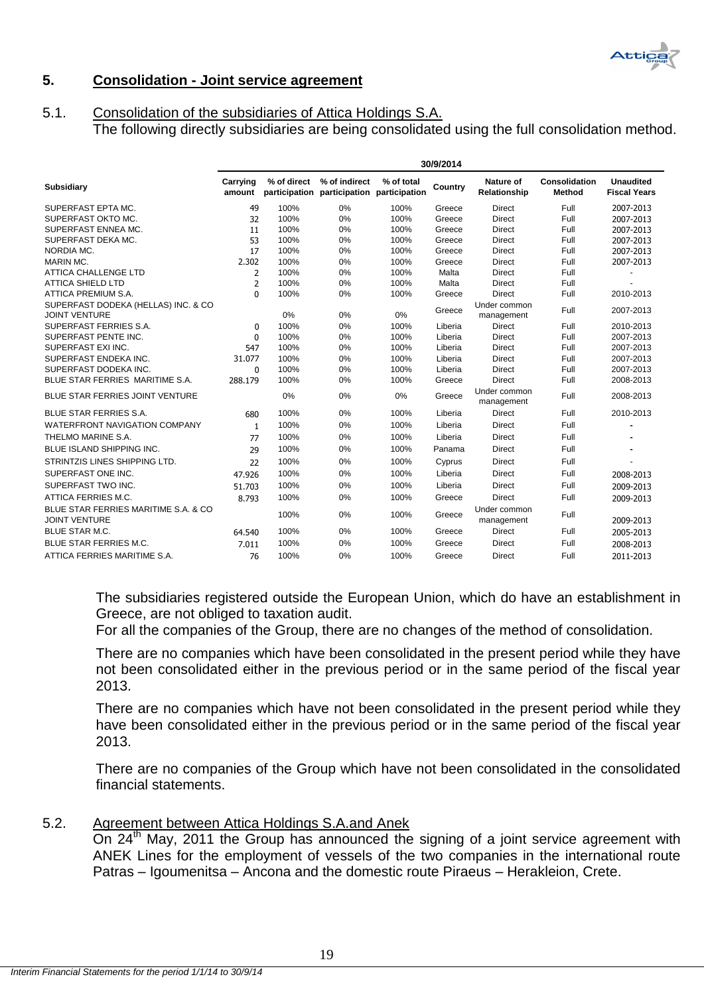

# <span id="page-19-0"></span>**5. Consolidation - Joint service agreement**

# <span id="page-19-1"></span>5.1. Consolidation of the subsidiaries of Attica Holdings S.A. The following directly subsidiaries are being consolidated using the full consolidation method.

| 30/9/2014                                                    |                    |             |                                                            |            |         |                            |                                |                                         |
|--------------------------------------------------------------|--------------------|-------------|------------------------------------------------------------|------------|---------|----------------------------|--------------------------------|-----------------------------------------|
| <b>Subsidiary</b>                                            | Carrying<br>amount | % of direct | % of indirect<br>participation participation participation | % of total | Country | Nature of<br>Relationship  | Consolidation<br><b>Method</b> | <b>Unaudited</b><br><b>Fiscal Years</b> |
| SUPERFAST EPTA MC.                                           | 49                 | 100%        | 0%                                                         | 100%       | Greece  | <b>Direct</b>              | Full                           | 2007-2013                               |
| SUPERFAST OKTO MC.                                           | 32                 | 100%        | 0%                                                         | 100%       | Greece  | <b>Direct</b>              | Full                           | 2007-2013                               |
| SUPERFAST ENNEA MC.                                          | 11                 | 100%        | 0%                                                         | 100%       | Greece  | <b>Direct</b>              | Full                           | 2007-2013                               |
| SUPERFAST DEKA MC.                                           | 53                 | 100%        | 0%                                                         | 100%       | Greece  | <b>Direct</b>              | Full                           | 2007-2013                               |
| NORDIA MC.                                                   | 17                 | 100%        | 0%                                                         | 100%       | Greece  | <b>Direct</b>              | Full                           | 2007-2013                               |
| MARIN MC.                                                    | 2.302              | 100%        | 0%                                                         | 100%       | Greece  | <b>Direct</b>              | Full                           | 2007-2013                               |
| <b>ATTICA CHALLENGE LTD</b>                                  | 2                  | 100%        | 0%                                                         | 100%       | Malta   | <b>Direct</b>              | Full                           |                                         |
| <b>ATTICA SHIELD LTD</b>                                     | $\overline{2}$     | 100%        | 0%                                                         | 100%       | Malta   | <b>Direct</b>              | Full                           |                                         |
| ATTICA PREMIUM S.A.                                          | $\Omega$           | 100%        | 0%                                                         | 100%       | Greece  | <b>Direct</b>              | Full                           | 2010-2013                               |
| SUPERFAST DODEKA (HELLAS) INC. & CO<br><b>JOINT VENTURE</b>  |                    | 0%          | 0%                                                         | 0%         | Greece  | Under common<br>management | Full                           | 2007-2013                               |
| SUPERFAST FERRIES S.A.                                       | $\mathbf 0$        | 100%        | 0%                                                         | 100%       | Liberia | <b>Direct</b>              | Full                           | 2010-2013                               |
| SUPERFAST PENTE INC.                                         | 0                  | 100%        | 0%                                                         | 100%       | Liberia | <b>Direct</b>              | Full                           | 2007-2013                               |
| SUPERFAST EXI INC.                                           | 547                | 100%        | 0%                                                         | 100%       | Liberia | <b>Direct</b>              | Full                           | 2007-2013                               |
| SUPERFAST ENDEKA INC.                                        | 31.077             | 100%        | 0%                                                         | 100%       | Liberia | <b>Direct</b>              | Full                           | 2007-2013                               |
| SUPERFAST DODEKA INC.                                        | $\mathbf 0$        | 100%        | 0%                                                         | 100%       | Liberia | <b>Direct</b>              | Full                           | 2007-2013                               |
| BLUE STAR FERRIES MARITIME S.A.                              | 288.179            | 100%        | 0%                                                         | 100%       | Greece  | <b>Direct</b>              | Full                           | 2008-2013                               |
| BLUE STAR FERRIES JOINT VENTURE                              |                    | 0%          | 0%                                                         | 0%         | Greece  | Under common<br>management | Full                           | 2008-2013                               |
| <b>BLUE STAR FERRIES S.A.</b>                                | 680                | 100%        | 0%                                                         | 100%       | Liberia | Direct                     | Full                           | 2010-2013                               |
| <b>WATERFRONT NAVIGATION COMPANY</b>                         | $\mathbf{1}$       | 100%        | 0%                                                         | 100%       | Liberia | <b>Direct</b>              | Full                           |                                         |
| THELMO MARINE S.A.                                           | 77                 | 100%        | 0%                                                         | 100%       | Liberia | <b>Direct</b>              | Full                           |                                         |
| <b>BLUE ISLAND SHIPPING INC.</b>                             | 29                 | 100%        | 0%                                                         | 100%       | Panama  | <b>Direct</b>              | Full                           |                                         |
| STRINTZIS LINES SHIPPING LTD.                                | 22                 | 100%        | 0%                                                         | 100%       | Cyprus  | <b>Direct</b>              | Full                           |                                         |
| SUPERFAST ONE INC.                                           | 47.926             | 100%        | 0%                                                         | 100%       | Liberia | <b>Direct</b>              | Full                           | 2008-2013                               |
| SUPERFAST TWO INC.                                           | 51.703             | 100%        | 0%                                                         | 100%       | Liberia | <b>Direct</b>              | Full                           | 2009-2013                               |
| ATTICA FERRIES M.C.                                          | 8.793              | 100%        | 0%                                                         | 100%       | Greece  | Direct                     | Full                           | 2009-2013                               |
| BLUE STAR FERRIES MARITIME S.A. & CO<br><b>JOINT VENTURE</b> |                    | 100%        | 0%                                                         | 100%       | Greece  | Under common<br>management | Full                           | 2009-2013                               |
| <b>BLUE STAR M.C.</b>                                        | 64.540             | 100%        | 0%                                                         | 100%       | Greece  | <b>Direct</b>              | Full                           | 2005-2013                               |
| <b>BLUE STAR FERRIES M.C.</b>                                | 7.011              | 100%        | 0%                                                         | 100%       | Greece  | <b>Direct</b>              | Full                           | 2008-2013                               |
| ATTICA FERRIES MARITIME S.A.                                 | 76                 | 100%        | 0%                                                         | 100%       | Greece  | <b>Direct</b>              | Full                           | 2011-2013                               |

The subsidiaries registered outside the European Union, which do have an establishment in Greece, are not obliged to taxation audit.

For all the companies of the Group, there are no changes of the method of consolidation.

There are no companies which have been consolidated in the present period while they have not been consolidated either in the previous period or in the same period of the fiscal year 2013.

There are no companies which have not been consolidated in the present period while they have been consolidated either in the previous period or in the same period of the fiscal year 2013.

There are no companies of the Group which have not been consolidated in the consolidated financial statements.

<span id="page-19-2"></span>5.2. Agreement between Attica Holdings S.A.and Anek

On 24<sup>th</sup> May, 2011 the Group has announced the signing of a joint service agreement with ANEK Lines for the employment of vessels of the two companies in the international route Patras – Igoumenitsa – Ancona and the domestic route Piraeus – Herakleion, Crete.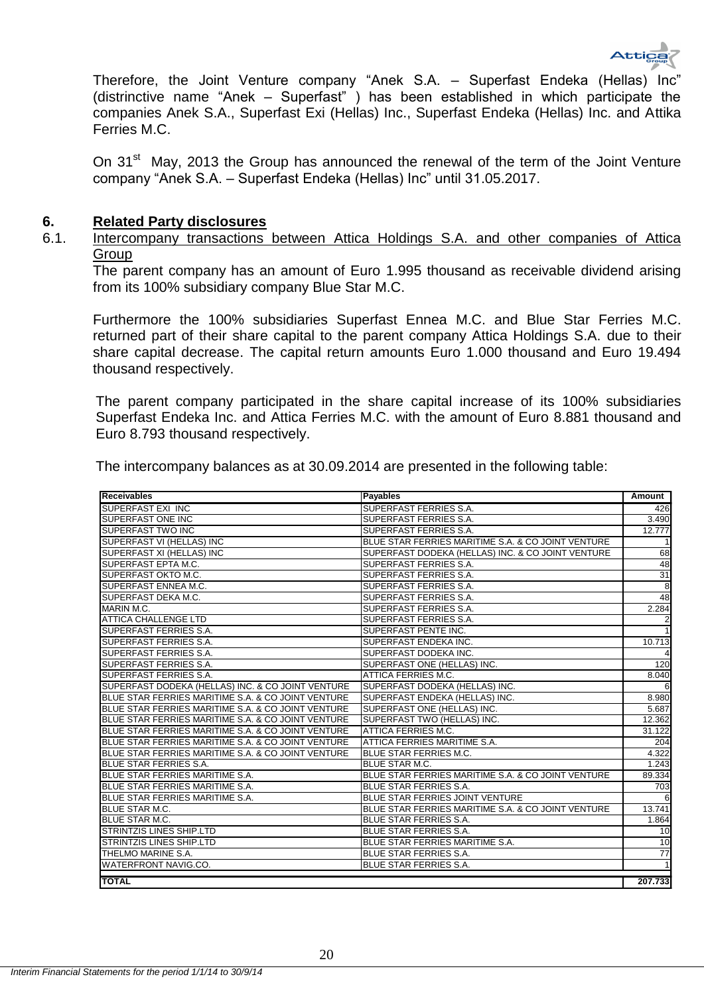

Therefore, the Joint Venture company "Anek S.A. - Superfast Endeka (Hellas) Inc' (distrinctive name "Anek  $-$  Superfast") has been established in which participate the companies Anek S.A., Superfast Exi (Hellas) Inc., Superfast Endeka (Hellas) Inc. and Attika Ferries M.C.

On 31<sup>st</sup> May, 2013 the Group has announced the renewal of the term of the Joint Venture company "Anek S.A. – Superfast Endeka (Hellas) Inc" until 31.05.2017.

## <span id="page-20-0"></span>**6. Related Party disclosures**

<span id="page-20-1"></span>6.1. Intercompany transactions between Attica Holdings S.A. and other companies of Attica Group

The parent company has an amount of Euro 1.995 thousand as receivable dividend arising from its 100% subsidiary company Blue Star M.C.

Furthermore the 100% subsidiaries Superfast Ennea M.C. and Blue Star Ferries M.C. returned part of their share capital to the parent company Attica Holdings S.A. due to their share capital decrease. The capital return amounts Euro 1.000 thousand and Euro 19.494 thousand respectively.

The parent company participated in the share capital increase of its 100% subsidiaries Superfast Endeka Inc. and Attica Ferries M.C. with the amount of Euro 8.881 thousand and Euro 8.793 thousand respectively.

|  |  |  |  |  | The intercompany balances as at 30.09.2014 are presented in the following table: |
|--|--|--|--|--|----------------------------------------------------------------------------------|
|--|--|--|--|--|----------------------------------------------------------------------------------|

| Receivables                                        | <b>Payables</b>                                    | Amount          |
|----------------------------------------------------|----------------------------------------------------|-----------------|
| SUPERFAST EXI INC                                  | SUPERFAST FERRIES S.A.                             | 426             |
| SUPERFAST ONE INC                                  | SUPERFAST FERRIES S.A.                             | 3.490           |
| <b>SUPERFAST TWO INC</b>                           | SUPERFAST FERRIES S.A.                             | 12.777          |
| SUPERFAST VI (HELLAS) INC                          | BLUE STAR FERRIES MARITIME S.A. & CO JOINT VENTURE | $\vert$         |
| SUPERFAST XI (HELLAS) INC                          | SUPERFAST DODEKA (HELLAS) INC. & CO JOINT VENTURE  | 68              |
| SUPERFAST EPTA M.C.                                | SUPERFAST FERRIES S.A.                             | 48              |
| SUPERFAST OKTO M.C.                                | SUPERFAST FERRIES S.A.                             | 31              |
| SUPERFAST ENNEA M.C.                               | SUPERFAST FERRIES S.A.                             | 8               |
| <b>SUPERFAST DEKA M.C.</b>                         | SUPERFAST FERRIES S.A.                             | 48              |
| MARIN M.C.                                         | SUPERFAST FERRIES S.A.                             | 2.284           |
| <b>ATTICA CHALLENGE LTD</b>                        | SUPERFAST FERRIES S.A.                             | $\overline{c}$  |
| <b>SUPERFAST FERRIES S.A.</b>                      | SUPERFAST PENTE INC.                               | $\mathbf{1}$    |
| SUPERFAST FERRIES S.A.                             | SUPERFAST ENDEKA INC.                              | 10.713          |
| <b>SUPERFAST FERRIES S.A.</b>                      | <b>SUPERFAST DODEKA INC.</b>                       | 4               |
| SUPERFAST FERRIES S.A.                             | SUPERFAST ONE (HELLAS) INC.                        | 120             |
| SUPERFAST FERRIES S.A.                             | ATTICA FERRIES M.C.                                | 8.040           |
| SUPERFAST DODEKA (HELLAS) INC. & CO JOINT VENTURE  | SUPERFAST DODEKA (HELLAS) INC.                     | 6               |
| BLUE STAR FERRIES MARITIME S.A. & CO JOINT VENTURE | SUPERFAST ENDEKA (HELLAS) INC.                     | 8.980           |
| BLUE STAR FERRIES MARITIME S.A. & CO JOINT VENTURE | SUPERFAST ONE (HELLAS) INC.                        | 5.687           |
| BLUE STAR FERRIES MARITIME S.A. & CO JOINT VENTURE | SUPERFAST TWO (HELLAS) INC.                        | 12.362          |
| BLUE STAR FERRIES MARITIME S.A. & CO JOINT VENTURE | ATTICA FERRIES M.C.                                | 31.122          |
| BLUE STAR FERRIES MARITIME S.A. & CO JOINT VENTURE | ATTICA FERRIES MARITIME S.A.                       | 204             |
| BLUE STAR FERRIES MARITIME S.A. & CO JOINT VENTURE | <b>BLUE STAR FERRIES M.C.</b>                      | 4.322           |
| BLUE STAR FERRIES S.A.                             | <b>BLUE STAR M.C.</b>                              | 1.243           |
| BLUE STAR FERRIES MARITIME S.A.                    | BLUE STAR FERRIES MARITIME S.A. & CO JOINT VENTURE | 89.334          |
| BLUE STAR FERRIES MARITIME S.A.                    | <b>BLUE STAR FERRIES S.A.</b>                      | 703             |
| BLUE STAR FERRIES MARITIME S.A.                    | BLUE STAR FERRIES JOINT VENTURE                    | 6               |
| <b>BLUE STAR M.C.</b>                              | BLUE STAR FERRIES MARITIME S.A. & CO JOINT VENTURE | 13.741          |
| <b>BLUE STAR M.C.</b>                              | <b>BLUE STAR FERRIES S.A.</b>                      | 1.864           |
| <b>STRINTZIS LINES SHIP.LTD</b>                    | <b>BLUE STAR FERRIES S.A.</b>                      | 10              |
| <b>STRINTZIS LINES SHIP.LTD</b>                    | BLUE STAR FERRIES MARITIME S.A.                    | 10              |
| THELMO MARINE S.A.                                 | BLUE STAR FERRIES S.A.                             | $\overline{77}$ |
| WATERFRONT NAVIG.CO.                               | <b>BLUE STAR FERRIES S.A.</b>                      | $\vert$         |
| <b>TOTAL</b>                                       |                                                    | 207.733         |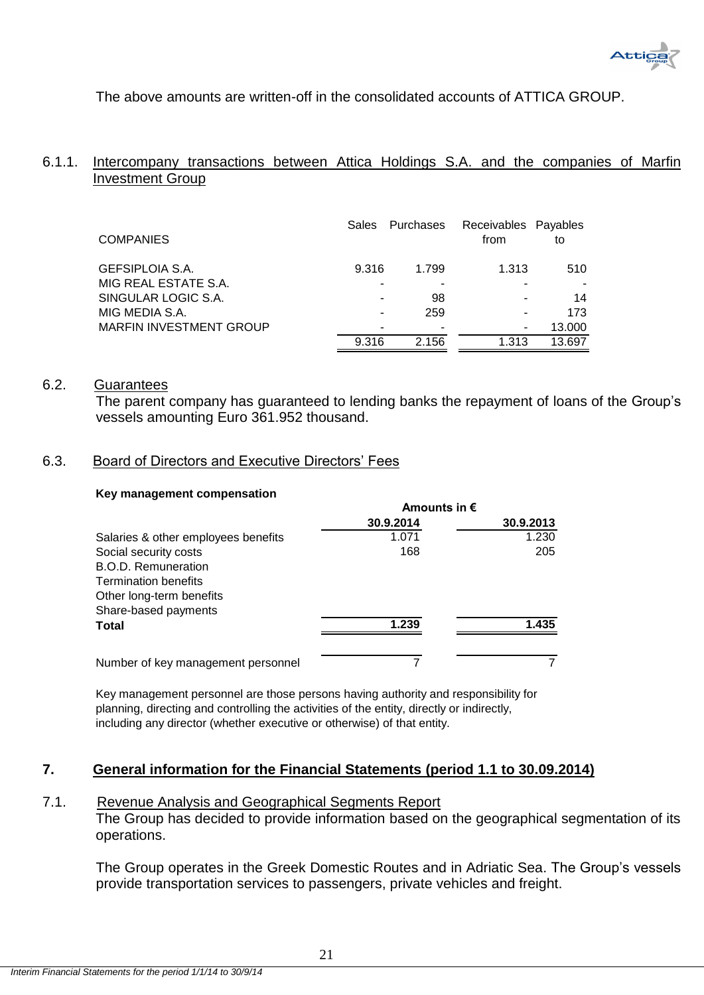The above amounts are written-off in the consolidated accounts of ATTICA GROUP.

# <span id="page-21-0"></span>6.1.1. Intercompany transactions between Attica Holdings S.A. and the companies of Marfin Investment Group

| <b>COMPANIES</b>               | <b>Sales</b> | Purchases | Receivables Payables<br>from | to     |
|--------------------------------|--------------|-----------|------------------------------|--------|
| <b>GEFSIPLOIA S.A.</b>         | 9.316        | 1.799     | 1.313                        | 510    |
| MIG REAL ESTATE S.A.           |              |           |                              |        |
| SINGULAR LOGIC S.A.            |              | 98        |                              | 14     |
| MIG MEDIA S.A.                 |              | 259       |                              | 173    |
| <b>MARFIN INVESTMENT GROUP</b> |              |           |                              | 13.000 |
|                                | 9.316        | 2.156     | 1.313                        | 13.697 |

# <span id="page-21-1"></span>6.2. Guarantees

The parent company has guaranteed to lending banks the repayment of loans of the Group's vessels amounting Euro 361.952 thousand.

# <span id="page-21-2"></span>6.3. Board of Directors and Executive Directors' Fees

# **Key management compensation**

|                                     | Amounts in $\epsilon$ |           |  |
|-------------------------------------|-----------------------|-----------|--|
|                                     | 30.9.2014             | 30.9.2013 |  |
| Salaries & other employees benefits | 1.071                 | 1.230     |  |
| Social security costs               | 168                   | 205       |  |
| B.O.D. Remuneration                 |                       |           |  |
| <b>Termination benefits</b>         |                       |           |  |
| Other long-term benefits            |                       |           |  |
| Share-based payments                |                       |           |  |
| <b>Total</b>                        | 1.239                 | 1.435     |  |
| Number of key management personnel  |                       |           |  |

Key management personnel are those persons having authority and responsibility for planning, directing and controlling the activities of the entity, directly or indirectly, including any director (whether executive or otherwise) of that entity.

# <span id="page-21-3"></span>**7. General information for the Financial Statements (period 1.1 to 30.09.2014)**

# <span id="page-21-4"></span>7.1. Revenue Analysis and Geographical Segments Report

The Group has decided to provide information based on the geographical segmentation of its operations.

The Group operates in the Greek Domestic Routes and in Adriatic Sea. The Group's vessels provide transportation services to passengers, private vehicles and freight.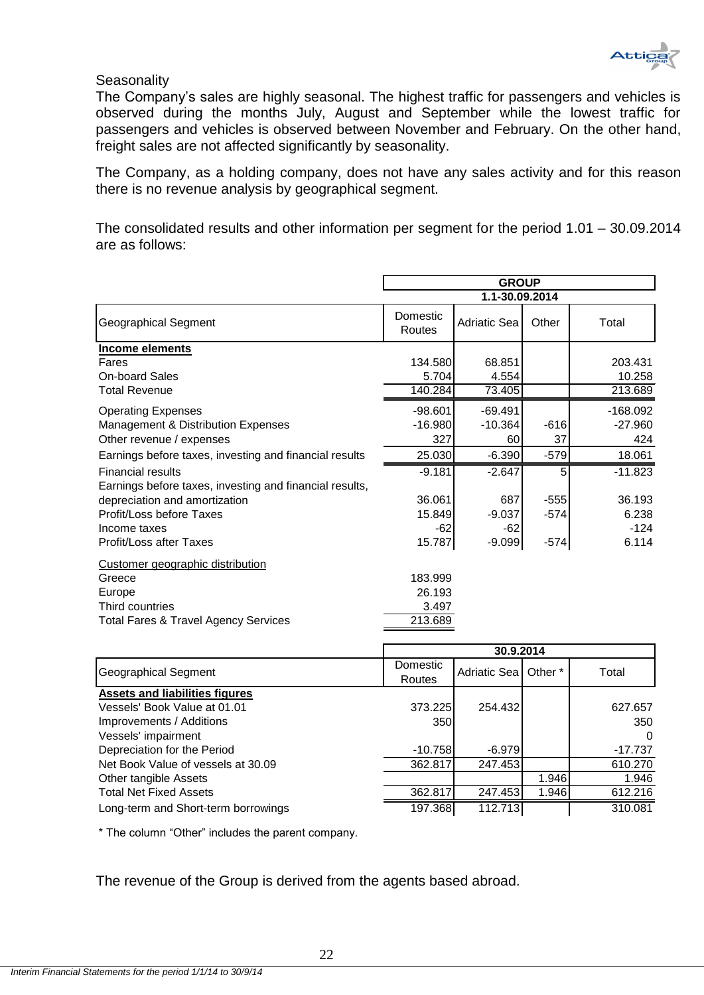

# **Seasonality**

The Company's sales are highly seasonal. The highest traffic for passengers and vehicles is observed during the months July, August and September while the lowest traffic for passengers and vehicles is observed between November and February. On the other hand, freight sales are not affected significantly by seasonality.

The Company, as a holding company, does not have any sales activity and for this reason there is no revenue analysis by geographical segment.

The consolidated results and other information per segment for the period 1.01 – 30.09.2014 are as follows:

|                                                         | <b>GROUP</b>       |                     |        |            |
|---------------------------------------------------------|--------------------|---------------------|--------|------------|
|                                                         |                    | 1.1-30.09.2014      |        |            |
| Geographical Segment                                    | Domestic<br>Routes | <b>Adriatic Sea</b> | Other  | Total      |
| Income elements                                         |                    |                     |        |            |
| Fares                                                   | 134.580            | 68.851              |        | 203.431    |
| <b>On-board Sales</b>                                   | 5.704              | 4.554               |        | 10.258     |
| <b>Total Revenue</b>                                    | 140.284            | 73.405              |        | 213.689    |
| <b>Operating Expenses</b>                               | $-98.601$          | $-69.491$           |        | $-168.092$ |
| Management & Distribution Expenses                      | $-16.980$          | $-10.364$           | $-616$ | $-27.960$  |
| Other revenue / expenses                                | 327                | 60                  | 37     | 424        |
| Earnings before taxes, investing and financial results  | 25.030             | $-6.390$            | $-579$ | 18.061     |
| <b>Financial results</b>                                | $-9.181$           | $-2.647$            | 5      | $-11.823$  |
| Earnings before taxes, investing and financial results, |                    |                     |        |            |
| depreciation and amortization                           | 36.061             | 687                 | $-555$ | 36.193     |
| Profit/Loss before Taxes                                | 15.849             | $-9.037$            | $-574$ | 6.238      |
| Income taxes                                            | -62                | $-62$               |        | $-124$     |
| Profit/Loss after Taxes                                 | 15.787             | $-9.099$            | $-574$ | 6.114      |
| Customer geographic distribution                        |                    |                     |        |            |
| Greece                                                  | 183.999            |                     |        |            |
| Europe                                                  | 26.193             |                     |        |            |
| Third countries                                         | 3.497              |                     |        |            |
| <b>Total Fares &amp; Travel Agency Services</b>         | 213.689            |                     |        |            |
|                                                         |                    |                     |        |            |

|                                       | 30.9.2014 |                       |       |         |
|---------------------------------------|-----------|-----------------------|-------|---------|
|                                       | Domestic  | Adriatic Seal Other * |       | Total   |
| Geographical Segment                  | Routes    |                       |       |         |
| <b>Assets and liabilities figures</b> |           |                       |       |         |
| Vessels' Book Value at 01.01          | 373.225   | 254.432               |       | 627.657 |
| Improvements / Additions              | 350       |                       |       | 350     |
| Vessels' impairment                   |           |                       |       | 0       |
| Depreciation for the Period           | -10.7581  | $-6.979$              |       | -17.737 |
| Net Book Value of vessels at 30.09    | 362.817   | 247.453               |       | 610.270 |
| Other tangible Assets                 |           |                       | 1.946 | 1.946   |
| <b>Total Net Fixed Assets</b>         | 362.817   | 247.453               | 1.946 | 612.216 |
| Long-term and Short-term borrowings   | 197.368   | 112.713               |       | 310.081 |

\* The column "Other" includes the parent company.

The revenue of the Group is derived from the agents based abroad.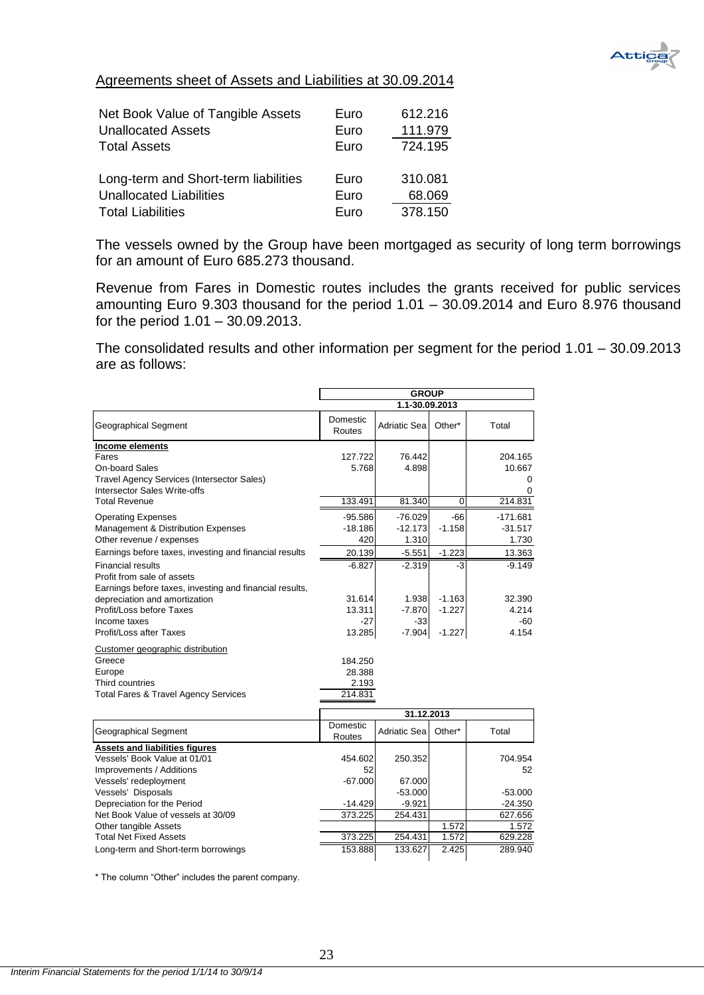

# Agreements sheet of Assets and Liabilities at 30.09.2014

| Net Book Value of Tangible Assets<br><b>Unallocated Assets</b> | Euro<br>Euro | 612.216<br>111.979 |
|----------------------------------------------------------------|--------------|--------------------|
|                                                                |              |                    |
| <b>Total Assets</b>                                            | Euro         | 724.195            |
|                                                                |              |                    |
| Long-term and Short-term liabilities                           | Euro         | 310.081            |
| <b>Unallocated Liabilities</b>                                 | Euro         | 68.069             |
| <b>Total Liabilities</b>                                       | Euro         | 378.150            |

The vessels owned by the Group have been mortgaged as security of long term borrowings for an amount of Euro 685.273 thousand.

Revenue from Fares in Domestic routes includes the grants received for public services amounting Euro 9.303 thousand for the period 1.01 – 30.09.2014 and Euro 8.976 thousand for the period 1.01 – 30.09.2013.

The consolidated results and other information per segment for the period 1.01 – 30.09.2013 are as follows:

|                                                                                                                                                         | <b>GROUP</b>                          |                                 |                   |                                        |
|---------------------------------------------------------------------------------------------------------------------------------------------------------|---------------------------------------|---------------------------------|-------------------|----------------------------------------|
|                                                                                                                                                         | 1.1-30.09.2013                        |                                 |                   |                                        |
| <b>Geographical Segment</b>                                                                                                                             | Domestic<br>Routes                    | Adriatic Sea                    | Other*            | Total                                  |
| Income elements<br>Fares<br>On-board Sales<br><b>Travel Agency Services (Intersector Sales)</b><br>Intersector Sales Write-offs<br><b>Total Revenue</b> | 127.722<br>5.768<br>133.491           | 76.442<br>4.898<br>81.340       | $\mathbf 0$       | 204.165<br>10.667<br>0<br>0<br>214.831 |
| <b>Operating Expenses</b><br>Management & Distribution Expenses<br>Other revenue / expenses                                                             | $-95.586$<br>$-18.186$<br>420         | $-76.029$<br>$-12.173$<br>1.310 | $-66$<br>$-1.158$ | $-171.681$<br>$-31.517$<br>1.730       |
| Earnings before taxes, investing and financial results                                                                                                  | 20.139                                | $-5.551$                        | $-1.223$          | 13.363                                 |
| <b>Financial results</b><br>Profit from sale of assets<br>Earnings before taxes, investing and financial results,                                       | $-6.827$                              | $-2.319$                        | -3                | $-9.149$                               |
| depreciation and amortization                                                                                                                           | 31.614                                | 1.938                           | $-1.163$          | 32.390                                 |
| Profit/Loss before Taxes                                                                                                                                | 13.311                                | $-7.870$                        | $-1.227$          | 4.214                                  |
| Income taxes<br>Profit/Loss after Taxes                                                                                                                 | $-27$<br>13.285                       | $-33$<br>$-7.904$               | $-1.227$          | $-60$<br>4.154                         |
| Customer geographic distribution<br>Greece<br>Europe<br>Third countries<br><b>Total Fares &amp; Travel Agency Services</b>                              | 184.250<br>28.388<br>2.193<br>214.831 |                                 |                   |                                        |
|                                                                                                                                                         |                                       | 31.12.2013                      |                   |                                        |
| <b>Geographical Segment</b>                                                                                                                             | Domestic<br>Routes                    | Adriatic Sea                    | Other*            | Total                                  |
| <b>Assets and liabilities figures</b><br>Vessels' Book Value at 01/01<br>Improvements / Additions                                                       | 454.602<br>52                         | 250.352                         |                   | 704.954<br>52                          |
| Vessels' redeployment                                                                                                                                   | $-67.000$                             | 67.000                          |                   |                                        |
| Vessels' Disposals<br>Depreciation for the Period                                                                                                       | $-14.429$                             | $-53.000$<br>$-9.921$           |                   | $-53.000$<br>$-24.350$                 |
| Net Book Value of vessels at 30/09                                                                                                                      | 373.225                               | 254.431                         |                   | 627.656                                |
| Other tangible Assets                                                                                                                                   |                                       |                                 | 1.572             | 1.572                                  |
| <b>Total Net Fixed Assets</b>                                                                                                                           | 373.225                               | 254.431                         | 1.572             | 629.228                                |
| Long-term and Short-term borrowings                                                                                                                     | 153.888                               | 133.627                         | 2.425             | 289.940                                |

\* The column "Other" includes the parent company.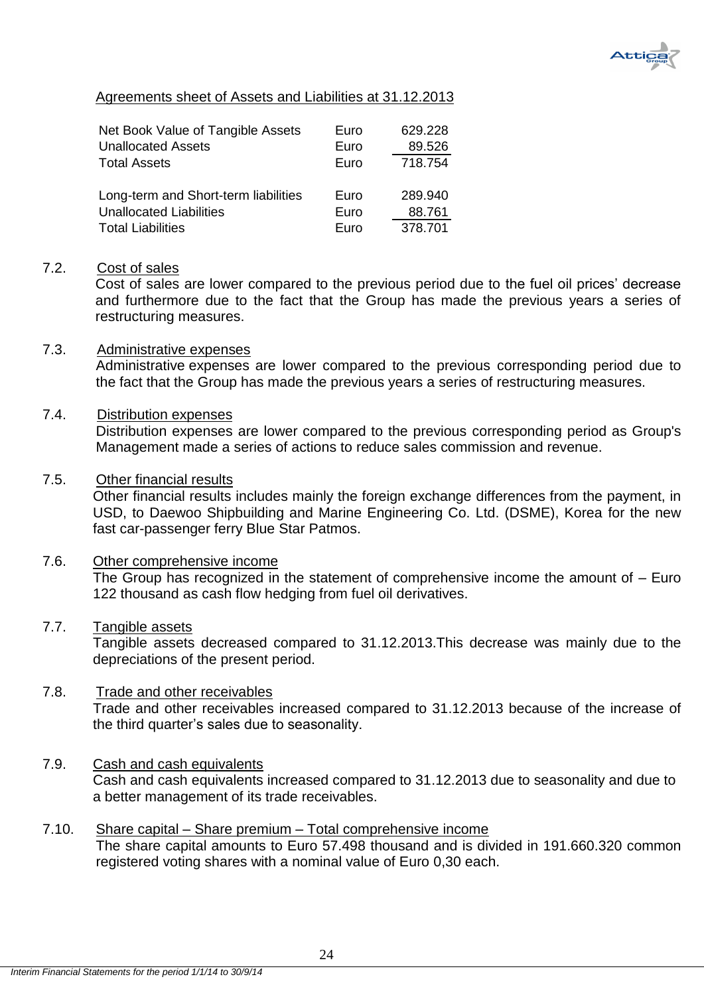

# Agreements sheet of Assets and Liabilities at 31.12.2013

| Net Book Value of Tangible Assets<br><b>Unallocated Assets</b> | Euro<br>Euro | 629.228<br>89.526 |
|----------------------------------------------------------------|--------------|-------------------|
| <b>Total Assets</b>                                            | Euro         | 718.754           |
| Long-term and Short-term liabilities                           | Euro         | 289.940           |
| <b>Unallocated Liabilities</b>                                 | Euro         | 88.761            |
| <b>Total Liabilities</b>                                       | Euro         | 378.701           |

# <span id="page-24-0"></span>7.2. Cost of sales

Cost of sales are lower compared to the previous period due to the fuel oil prices' decrease and furthermore due to the fact that the Group has made the previous years a series of restructuring measures.

# <span id="page-24-1"></span>7.3. Administrative expenses

Administrative expenses are lower compared to the previous corresponding period due to the fact that the Group has made the previous years a series of restructuring measures.

# <span id="page-24-2"></span>7.4. Distribution expenses

Distribution expenses are lower compared to the previous corresponding period as Group's Management made a series of actions to reduce sales commission and revenue.

# <span id="page-24-3"></span>7.5. Other financial results

Other financial results includes mainly the foreign exchange differences from the payment, in USD, to Daewoo Shipbuilding and Marine Engineering Co. Ltd. (DSME), Korea for the new fast car-passenger ferry Blue Star Patmos.

# <span id="page-24-4"></span>7.6. Other comprehensive income

The Group has recognized in the statement of comprehensive income the amount of – Euro 122 thousand as cash flow hedging from fuel oil derivatives.

# <span id="page-24-5"></span>7.7. Tangible assets

Tangible assets decreased compared to 31.12.2013.This decrease was mainly due to the depreciations of the present period.

# <span id="page-24-6"></span>7.8. Trade and other receivables

Trade and other receivables increased compared to 31.12.2013 because of the increase of the third quarter's sales due to seasonality.

# <span id="page-24-7"></span>7.9. Cash and cash equivalents

Cash and cash equivalents increased compared to 31.12.2013 due to seasonality and due to a better management of its trade receivables.

# <span id="page-24-8"></span>7.10. Share capital – Share premium – Total comprehensive income

The share capital amounts to Euro 57.498 thousand and is divided in 191.660.320 common registered voting shares with a nominal value of Euro 0,30 each.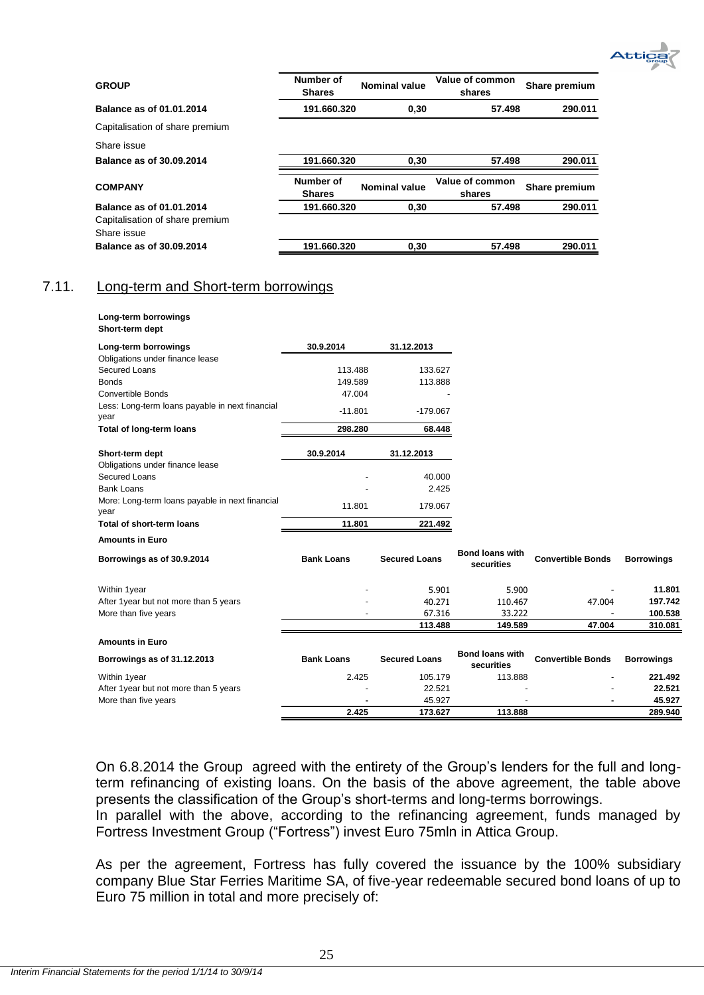

| <b>GROUP</b>                    | Number of<br><b>Shares</b> | <b>Nominal value</b> | Value of common<br>shares | Share premium |
|---------------------------------|----------------------------|----------------------|---------------------------|---------------|
| Balance as of 01.01.2014        | 191.660.320                | 0,30                 | 57.498                    | 290.011       |
| Capitalisation of share premium |                            |                      |                           |               |
| Share issue                     |                            |                      |                           |               |
| Balance as of 30.09.2014        | 191.660.320                | 0.30                 | 57.498                    | 290.011       |
| <b>COMPANY</b>                  | Number of<br><b>Shares</b> | Nominal value        | Value of common<br>shares | Share premium |
| Balance as of 01.01.2014        | 191.660.320                | 0,30                 | 57.498                    | 290.011       |
| Capitalisation of share premium |                            |                      |                           |               |
| Share issue                     |                            |                      |                           |               |
| <b>Balance as of 30.09.2014</b> | 191.660.320                | 0.30                 | 57.498                    | 290.011       |

# <span id="page-25-0"></span>7.11. Long-term and Short-term borrowings

|                 | Long-term borrowings |
|-----------------|----------------------|
| Short-term dept |                      |

| Long-term borrowings                                    | 30.9.2014         | 31.12.2013           |                                      |                          |                   |
|---------------------------------------------------------|-------------------|----------------------|--------------------------------------|--------------------------|-------------------|
| Obligations under finance lease                         |                   |                      |                                      |                          |                   |
| Secured Loans                                           | 113.488           | 133.627              |                                      |                          |                   |
| <b>Bonds</b>                                            | 149.589           | 113.888              |                                      |                          |                   |
| <b>Convertible Bonds</b>                                | 47.004            |                      |                                      |                          |                   |
| Less: Long-term loans payable in next financial<br>year | $-11.801$         | $-179.067$           |                                      |                          |                   |
| <b>Total of long-term loans</b>                         | 298.280           | 68.448               |                                      |                          |                   |
| Short-term dept                                         | 30.9.2014         | 31.12.2013           |                                      |                          |                   |
| Obligations under finance lease                         |                   |                      |                                      |                          |                   |
| Secured Loans                                           |                   | 40.000               |                                      |                          |                   |
| <b>Bank Loans</b>                                       |                   | 2.425                |                                      |                          |                   |
| More: Long-term loans payable in next financial         | 11.801            | 179.067              |                                      |                          |                   |
| year                                                    |                   |                      |                                      |                          |                   |
| Total of short-term loans                               | 11.801            | 221.492              |                                      |                          |                   |
| <b>Amounts in Euro</b>                                  |                   |                      |                                      |                          |                   |
| Borrowings as of 30.9.2014                              | <b>Bank Loans</b> | <b>Secured Loans</b> | <b>Bond loans with</b><br>securities | <b>Convertible Bonds</b> | <b>Borrowings</b> |
| Within 1year                                            |                   | 5.901                | 5.900                                |                          | 11.801            |
| After 1year but not more than 5 years                   |                   | 40.271               | 110.467                              | 47,004                   | 197.742           |
| More than five years                                    |                   | 67.316               | 33.222                               |                          | 100.538           |
|                                                         |                   | 113.488              | 149.589                              | 47.004                   | 310.081           |
| <b>Amounts in Euro</b>                                  |                   |                      |                                      |                          |                   |
| Borrowings as of 31.12.2013                             | <b>Bank Loans</b> | <b>Secured Loans</b> | <b>Bond loans with</b><br>securities | <b>Convertible Bonds</b> | <b>Borrowings</b> |
| Within 1year                                            | 2.425             | 105.179              | 113.888                              |                          | 221.492           |
| After 1year but not more than 5 years                   |                   | 22.521               |                                      |                          | 22.521            |
| More than five years                                    |                   | 45.927               |                                      |                          | 45.927            |
|                                                         | 2.425             | 173.627              | 113.888                              |                          | 289.940           |

On 6.8.2014 the Group agreed with the entirety of the Group's lenders for the full and longterm refinancing of existing loans. On the basis of the above agreement, the table above presents the classification of the Group's short-terms and long-terms borrowings.

In parallel with the above, according to the refinancing agreement, funds managed by Fortress Investment Group ("Fortress") invest Euro 75mln in Attica Group.

As per the agreement, Fortress has fully covered the issuance by the 100% subsidiary company Blue Star Ferries Maritime SA, of five-year redeemable secured bond loans of up to Euro 75 million in total and more precisely of: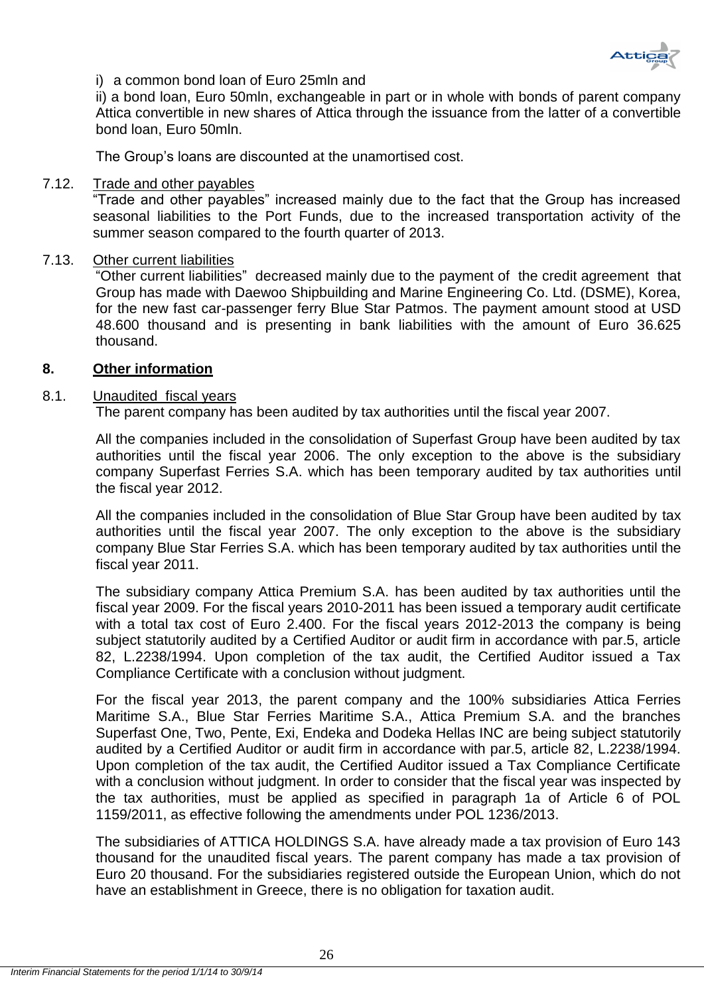

# i) a common bond loan of Euro 25mln and

ii) a bond loan, Euro 50mln, exchangeable in part or in whole with bonds of parent company Attica convertible in new shares of Attica through the issuance from the latter of a convertible bond loan, Euro 50mln.

The Group's loans are discounted at the unamortised cost.

# <span id="page-26-0"></span>7.12. Trade and other payables

―Trade and other payables‖ increased mainly due to the fact that the Group has increased seasonal liabilities to the Port Funds, due to the increased transportation activity of the summer season compared to the fourth quarter of 2013.

# <span id="page-26-1"></span>7.13. Other current liabilities

―Other current liabilities‖ decreased mainly due to the payment of the credit agreement that Group has made with Daewoo Shipbuilding and Marine Engineering Co. Ltd. (DSME), Korea, for the new fast car-passenger ferry Blue Star Patmos. The payment amount stood at USD 48.600 thousand and is presenting in bank liabilities with the amount of Euro 36.625 thousand.

# <span id="page-26-2"></span>**8. Other information**

# <span id="page-26-3"></span>8.1. Unaudited fiscal years

The parent company has been audited by tax authorities until the fiscal year 2007.

All the companies included in the consolidation of Superfast Group have been audited by tax authorities until the fiscal year 2006. The only exception to the above is the subsidiary company Superfast Ferries S.A. which has been temporary audited by tax authorities until the fiscal year 2012.

All the companies included in the consolidation of Blue Star Group have been audited by tax authorities until the fiscal year 2007. The only exception to the above is the subsidiary company Blue Star Ferries S.A. which has been temporary audited by tax authorities until the fiscal year 2011.

The subsidiary company Attica Premium S.A. has been audited by tax authorities until the fiscal year 2009. For the fiscal years 2010-2011 has been issued a temporary audit certificate with a total tax cost of Euro 2.400. For the fiscal years 2012-2013 the company is being subject statutorily audited by a Certified Auditor or audit firm in accordance with par.5, article 82, L.2238/1994. Upon completion of the tax audit, the Certified Auditor issued a Tax Compliance Certificate with a conclusion without judgment.

For the fiscal year 2013, the parent company and the 100% subsidiaries Attica Ferries Maritime S.A., Blue Star Ferries Maritime S.A., Attica Premium S.A. and the branches Superfast One, Two, Pente, Exi, Endeka and Dodeka Hellas INC are being subject statutorily audited by a Certified Auditor or audit firm in accordance with par.5, article 82, L.2238/1994. Upon completion of the tax audit, the Certified Auditor issued a Tax Compliance Certificate with a conclusion without judgment. In order to consider that the fiscal year was inspected by the tax authorities, must be applied as specified in paragraph 1a of Article 6 of POL 1159/2011, as effective following the amendments under POL 1236/2013.

The subsidiaries of ATTICA HOLDINGS S.A. have already made a tax provision of Euro 143 thousand for the unaudited fiscal years. The parent company has made a tax provision of Euro 20 thousand. For the subsidiaries registered outside the European Union, which do not have an establishment in Greece, there is no obligation for taxation audit.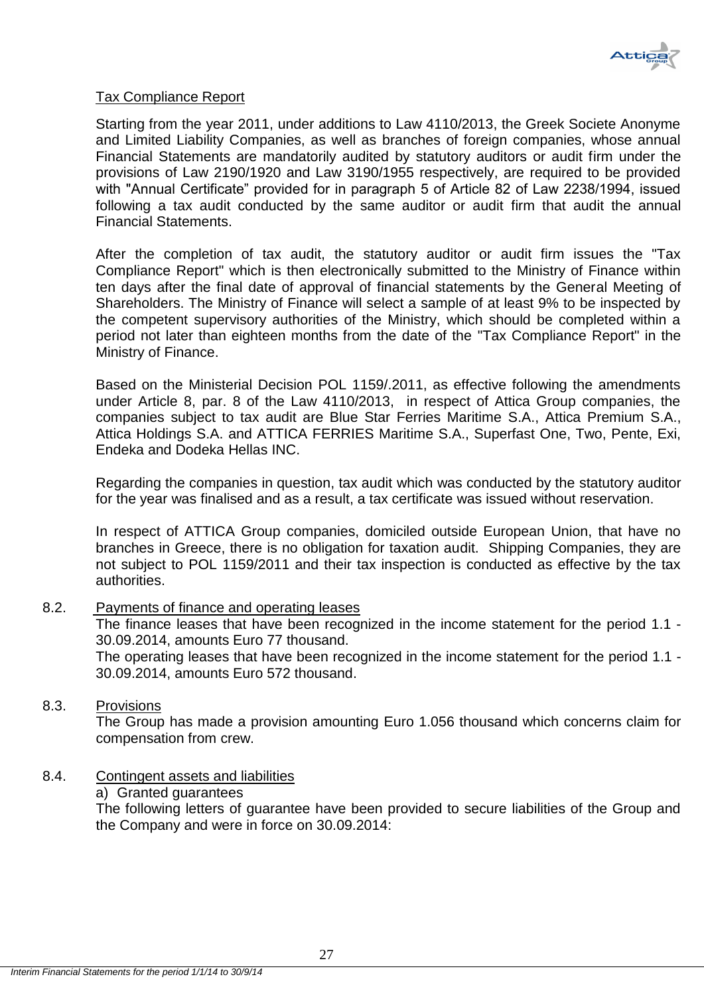

# Tax Compliance Report

Starting from the year 2011, under additions to Law 4110/2013, the Greek Societe Anonyme and Limited Liability Companies, as well as branches of foreign companies, whose annual Financial Statements are mandatorily audited by statutory auditors or audit firm under the provisions of Law 2190/1920 and Law 3190/1955 respectively, are required to be provided with "Annual Certificate" provided for in paragraph 5 of Article 82 of Law 2238/1994, issued following a tax audit conducted by the same auditor or audit firm that audit the annual Financial Statements.

After the completion of tax audit, the statutory auditor or audit firm issues the "Tax Compliance Report" which is then electronically submitted to the Ministry of Finance within ten days after the final date of approval of financial statements by the General Meeting of Shareholders. The Ministry of Finance will select a sample of at least 9% to be inspected by the competent supervisory authorities of the Ministry, which should be completed within a period not later than eighteen months from the date of the "Tax Compliance Report" in the Ministry of Finance.

Based on the Ministerial Decision POL 1159/.2011, as effective following the amendments under Article 8, par. 8 of the Law 4110/2013, in respect of Attica Group companies, the companies subject to tax audit are Blue Star Ferries Maritime S.A., Attica Premium S.A., Attica Holdings S.A. and ATTICA FERRIES Maritime S.A., Superfast One, Two, Pente, Exi, Endeka and Dodeka Hellas INC.

Regarding the companies in question, tax audit which was conducted by the statutory auditor for the year was finalised and as a result, a tax certificate was issued without reservation.

In respect of ATTICA Group companies, domiciled outside European Union, that have no branches in Greece, there is no obligation for taxation audit. Shipping Companies, they are not subject to POL 1159/2011 and their tax inspection is conducted as effective by the tax authorities.

<span id="page-27-0"></span>8.2. Payments of finance and operating leases

The finance leases that have been recognized in the income statement for the period 1.1 - 30.09.2014, amounts Euro 77 thousand.

The operating leases that have been recognized in the income statement for the period 1.1 - 30.09.2014, amounts Euro 572 thousand.

# <span id="page-27-1"></span>8.3. Provisions

The Group has made a provision amounting Euro 1.056 thousand which concerns claim for compensation from crew.

# <span id="page-27-2"></span>8.4. Contingent assets and liabilities

# a) Granted guarantees

The following letters of guarantee have been provided to secure liabilities of the Group and the Company and were in force on 30.09.2014: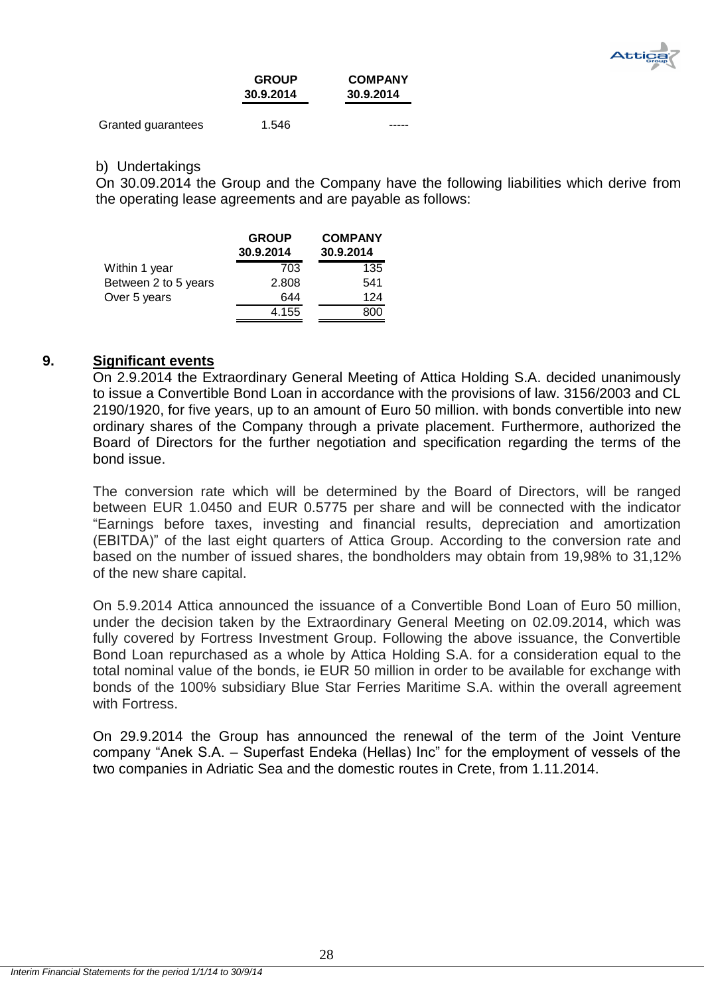

|                    | <b>GROUP</b><br>30.9.2014 | <b>COMPANY</b><br>30.9.2014 |
|--------------------|---------------------------|-----------------------------|
| Granted guarantees | 1.546                     |                             |

# b) Undertakings

On 30.09.2014 the Group and the Company have the following liabilities which derive from the operating lease agreements and are payable as follows:

|                      | <b>GROUP</b><br>30.9.2014 | <b>COMPANY</b><br>30.9.2014 |
|----------------------|---------------------------|-----------------------------|
| Within 1 year        | 703                       | 135                         |
| Between 2 to 5 years | 2.808                     | 541                         |
| Over 5 years         | 644                       | 124                         |
|                      | 4.155                     | 800                         |

# <span id="page-28-0"></span>**9. Significant events**

On 2.9.2014 the Extraordinary General Meeting of Attica Holding S.A. decided unanimously to issue a Convertible Bond Loan in accordance with the provisions of law. 3156/2003 and CL 2190/1920, for five years, up to an amount of Euro 50 million. with bonds convertible into new ordinary shares of the Company through a private placement. Furthermore, authorized the Board of Directors for the further negotiation and specification regarding the terms of the bond issue.

The conversion rate which will be determined by the Board of Directors, will be ranged between EUR 1.0450 and EUR 0.5775 per share and will be connected with the indicator ―Earnings before taxes, investing and financial results, depreciation and amortization (EBITDA)" of the last eight quarters of Attica Group. According to the conversion rate and based on the number of issued shares, the bondholders may obtain from 19,98% to 31,12% of the new share capital.

On 5.9.2014 Attica announced the issuance of a Convertible Bond Loan of Euro 50 million, under the decision taken by the Extraordinary General Meeting on 02.09.2014, which was fully covered by Fortress Investment Group. Following the above issuance, the Convertible Bond Loan repurchased as a whole by Attica Holding S.A. for a consideration equal to the total nominal value of the bonds, ie EUR 50 million in order to be available for exchange with bonds of the 100% subsidiary Blue Star Ferries Maritime S.A. within the overall agreement with Fortress.

On 29.9.2014 the Group has announced the renewal of the term of the Joint Venture company "Anek S.A. – Superfast Endeka (Hellas) Inc" for the employment of vessels of the two companies in Adriatic Sea and the domestic routes in Crete, from 1.11.2014.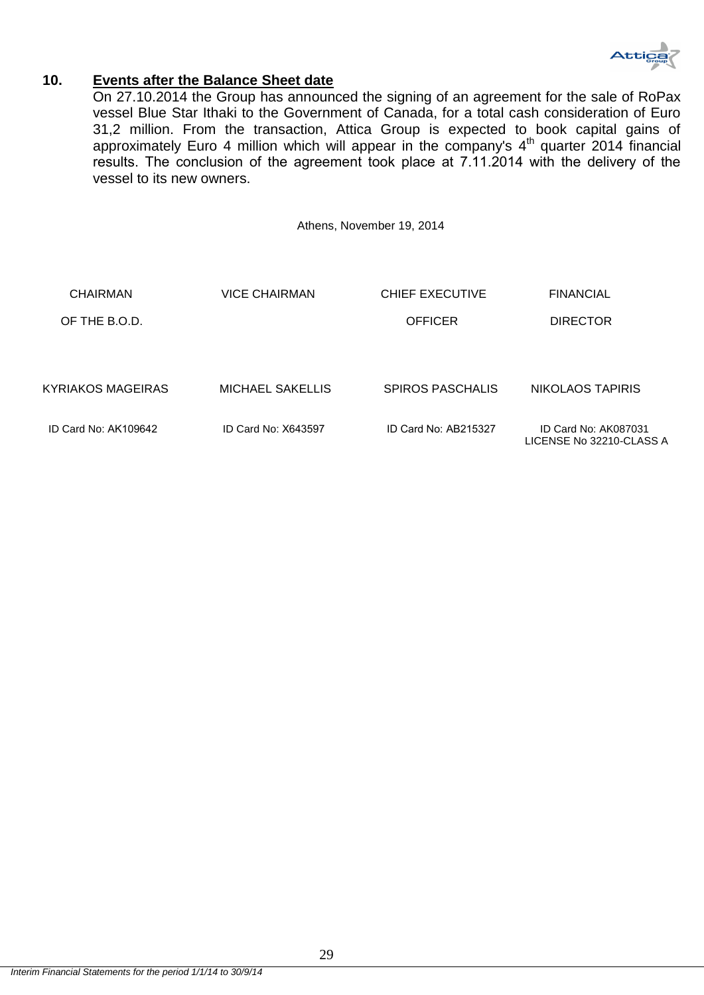

# <span id="page-29-0"></span>**10. Events after the Balance Sheet date**

On 27.10.2014 the Group has announced the signing of an agreement for the sale of RoPax vessel Blue Star Ithaki to the Government of Canada, for a total cash consideration of Euro 31,2 million. From the transaction, Attica Group is expected to book capital gains of approximately Euro 4 million which will appear in the company's  $4<sup>th</sup>$  quarter 2014 financial results. The conclusion of the agreement tοοk place at 7.11.2014 with the delivery of the vessel to its new owners.

Athens, November 19, 2014

| CHAIRMAN                 | <b>VICE CHAIRMAN</b>    | <b>CHIEF EXECUTIVE</b>  | <b>FINANCIAL</b>                                 |
|--------------------------|-------------------------|-------------------------|--------------------------------------------------|
| OF THE B.O.D.            |                         | <b>OFFICER</b>          | <b>DIRECTOR</b>                                  |
|                          |                         |                         |                                                  |
| <b>KYRIAKOS MAGEIRAS</b> | <b>MICHAEL SAKELLIS</b> | <b>SPIROS PASCHALIS</b> | NIKOLAOS TAPIRIS                                 |
| ID Card No: AK109642     | ID Card No: X643597     | ID Card No: AB215327    | ID Card No: AK087031<br>LICENSE No 32210-CLASS A |